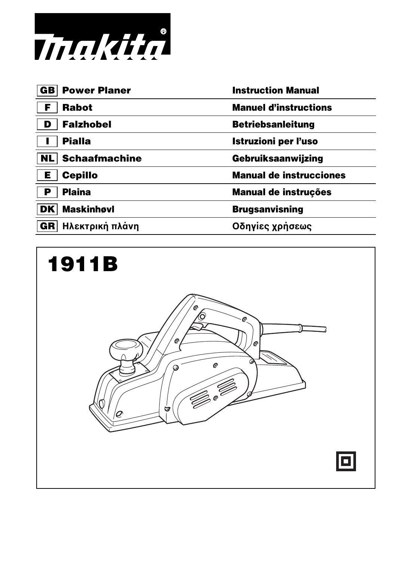

| <b>Power Planer</b><br>GB  | <b>Instruction Manual</b>      |
|----------------------------|--------------------------------|
| <b>Rabot</b>               | <b>Manuel d'instructions</b>   |
| <b>Falzhobel</b><br>D      | <b>Betriebsanleitung</b>       |
| <b>Pialla</b>              | Istruzioni per l'uso           |
| <b>Schaafmachine</b><br>NL | Gebruiksaanwijzing             |
| <b>Cepillo</b><br>Е        | <b>Manual de instrucciones</b> |
| <b>Plaina</b><br>Р         | <b>Manual de instruções</b>    |
| <b>Maskinhøvl</b><br>DK    | <b>Brugsanvisning</b>          |
| Ηλεκτρική πλάνη<br>GR      | Οδηγίες χρήσεως                |
|                            |                                |

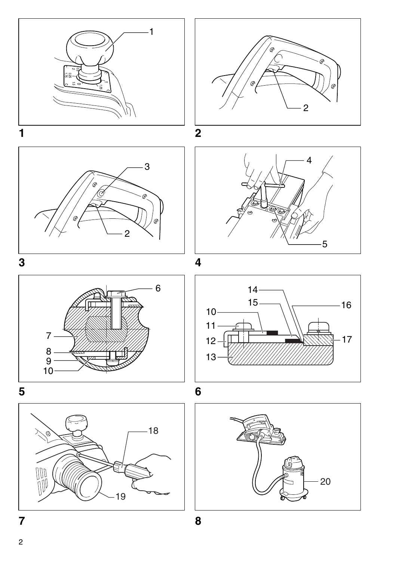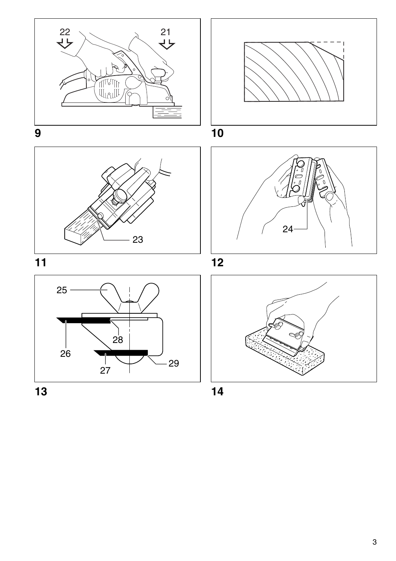



# **11 12**









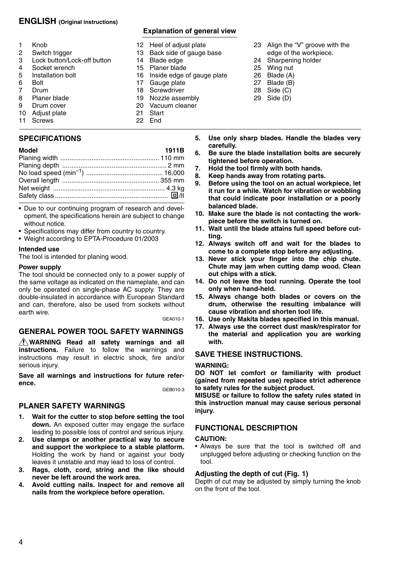## **ENGLISH (Original instructions)**

- 1 Knob<br>2 Switc
- 2 Switch trigger<br>3 Lock button/Lo
- 3 Lock button/Lock-off button
- 4 Socket wrench<br>5 Installation bolt
- 5 Installation bolt
- 6 Bolt<br>7 Drug
- 7 Drum<br>8 Plane
- 8 Planer blade<br>9 Drum cover
- Drum cover
- 10 Adjust plate
- 11 Screws

## **SPECIFICATIONS**

| Model | 1911B |
|-------|-------|
|       |       |
|       |       |
|       |       |
|       |       |
|       |       |
|       |       |
|       |       |

- Due to our continuing program of research and development, the specifications herein are subject to change without notice.
- Specifications may differ from country to country.
- Weight according to EPTA-Procedure 01/2003

#### **Intended use**

The tool is intended for planing wood.

#### **Power supply**

The tool should be connected only to a power supply of the same voltage as indicated on the nameplate, and can only be operated on single-phase AC supply. They are double-insulated in accordance with European Standard and can, therefore, also be used from sockets without earth wire.<br>GEA010-1

## **GENERAL POWER TOOL SAFETY WARNINGS**

**WARNING Read all safety warnings and all instructions.** Failure to follow the warnings and instructions may result in electric shock, fire and/or serious injury.

**Save all warnings and instructions for future reference.**

GEB010-3

## **PLANER SAFETY WARNINGS**

- **1. Wait for the cutter to stop before setting the tool down.** An exposed cutter may engage the surface leading to possible loss of control and serious injury.
- **2. Use clamps or another practical way to secure and support the workpiece to a stable platform.** Holding the work by hand or against your body leaves it unstable and may lead to loss of control.
- **3. Rags, cloth, cord, string and the like should never be left around the work area.**
- **4. Avoid cutting nails. Inspect for and remove all nails from the workpiece before operation.**

## **Explanation of general view**

- 12 Heel of adjust plate<br>13 Back side of gauge
- 13 Back side of gauge base<br>14 Blade edge
- 14 Blade edge
- Planer blade
- 16 Inside edge of gauge plate<br>17 Gauge plate
- 17 Gauge plate<br>18 Screwdriver
- **Screwdriver**
- 19 Nozzle assembly
- 20 Vacuum cleaner
- **Start**
- 22 End
- **5. Use only sharp blades. Handle the blades very carefully.**

23 Align the "V" groove with the edge of the workpiece. 24 Sharpening holder 25 Wing nut 26 Blade (A) 27 Blade (B) 28 Side (C) 29 Side (D)

- **6. Be sure the blade installation bolts are securely tightened before operation.**
- **7. Hold the tool firmly with both hands.**
	- **8. Keep hands away from rotating parts.**
- **9. Before using the tool on an actual workpiece, let it run for a while. Watch for vibration or wobbling that could indicate poor installation or a poorly balanced blade.**
- **10. Make sure the blade is not contacting the workpiece before the switch is turned on.**
- **11. Wait until the blade attains full speed before cutting.**
- **12. Always switch off and wait for the blades to come to a complete stop before any adjusting.**
- **13. Never stick your finger into the chip chute. Chute may jam when cutting damp wood. Clean out chips with a stick.**
- **14. Do not leave the tool running. Operate the tool only when hand-held.**
- **15. Always change both blades or covers on the drum, otherwise the resulting imbalance will cause vibration and shorten tool life.**
- **16. Use only Makita blades specified in this manual.**
- **17. Always use the correct dust mask/respirator for the material and application you are working with.**

## **SAVE THESE INSTRUCTIONS.**

## **WARNING:**

**DO NOT let comfort or familiarity with product (gained from repeated use) replace strict adherence to safety rules for the subject product.** 

**MISUSE or failure to follow the safety rules stated in this instruction manual may cause serious personal injury.** 

## **FUNCTIONAL DESCRIPTION**

## **CAUTION:**

• Always be sure that the tool is switched off and unplugged before adjusting or checking function on the tool.

## **Adjusting the depth of cut (Fig. 1)**

Depth of cut may be adjusted by simply turning the knob on the front of the tool.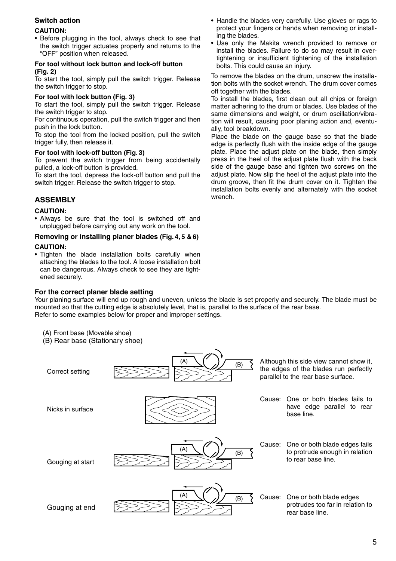## **Switch action**

#### **CAUTION:**

• Before plugging in the tool, always check to see that the switch trigger actuates properly and returns to the "OFF" position when released.

#### **For tool without lock button and lock-off button (Fig. 2)**

To start the tool, simply pull the switch trigger. Release the switch trigger to stop.

#### **For tool with lock button (Fig. 3)**

To start the tool, simply pull the switch trigger. Release the switch trigger to stop.

For continuous operation, pull the switch trigger and then push in the lock button.

To stop the tool from the locked position, pull the switch trigger fully, then release it.

#### **For tool with lock-off button (Fig. 3)**

To prevent the switch trigger from being accidentally pulled, a lock-off button is provided.

To start the tool, depress the lock-off button and pull the switch trigger. Release the switch trigger to stop.

## **ASSEMBLY**

#### **CAUTION:**

• Always be sure that the tool is switched off and unplugged before carrying out any work on the tool.

#### **Removing or installing planer blades (Fig. 4, 5 & 6)**

#### **CAUTION:**

• Tighten the blade installation bolts carefully when attaching the blades to the tool. A loose installation bolt can be dangerous. Always check to see they are tightened securely.

#### **For the correct planer blade setting**

- Handle the blades very carefully. Use gloves or rags to protect your fingers or hands when removing or installing the blades.
- Use only the Makita wrench provided to remove or install the blades. Failure to do so may result in overtightening or insufficient tightening of the installation bolts. This could cause an injury.

To remove the blades on the drum, unscrew the installation bolts with the socket wrench. The drum cover comes off together with the blades.

To install the blades, first clean out all chips or foreign matter adhering to the drum or blades. Use blades of the same dimensions and weight, or drum oscillation/vibration will result, causing poor planing action and, eventually, tool breakdown.

Place the blade on the gauge base so that the blade edge is perfectly flush with the inside edge of the gauge plate. Place the adjust plate on the blade, then simply press in the heel of the adjust plate flush with the back side of the gauge base and tighten two screws on the adjust plate. Now slip the heel of the adjust plate into the drum groove, then fit the drum cover on it. Tighten the installation bolts evenly and alternately with the socket wrench.

Your planing surface will end up rough and uneven, unless the blade is set properly and securely. The blade must be mounted so that the cutting edge is absolutely level, that is, parallel to the surface of the rear base. Refer to some examples below for proper and improper settings.

- (A) Front base (Movable shoe)
- (B) Rear base (Stationary shoe)

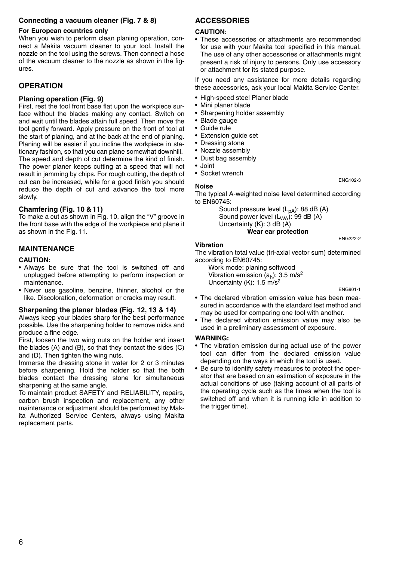#### **Connecting a vacuum cleaner (Fig. 7 & 8)**

#### **For European countries only**

When you wish to perform clean planing operation, connect a Makita vacuum cleaner to your tool. Install the nozzle on the tool using the screws. Then connect a hose of the vacuum cleaner to the nozzle as shown in the figures.

## **OPERATION**

#### **Planing operation (Fig. 9)**

First, rest the tool front base flat upon the workpiece surface without the blades making any contact. Switch on and wait until the blades attain full speed. Then move the tool gently forward. Apply pressure on the front of tool at the start of planing, and at the back at the end of planing. Planing will be easier if you incline the workpiece in stationary fashion, so that you can plane somewhat downhill. The speed and depth of cut determine the kind of finish. The power planer keeps cutting at a speed that will not result in jamming by chips. For rough cutting, the depth of cut can be increased, while for a good finish you should reduce the depth of cut and advance the tool more slowly.

#### **Chamfering (Fig. 10 & 11)**

To make a cut as shown in Fig. 10, align the "V" groove in the front base with the edge of the workpiece and plane it as shown in the Fig. 11.

## **MAINTENANCE**

#### **CAUTION:**

- Always be sure that the tool is switched off and unplugged before attempting to perform inspection or maintenance.
- Never use gasoline, benzine, thinner, alcohol or the like. Discoloration, deformation or cracks may result.

#### **Sharpening the planer blades (Fig. 12, 13 & 14)**

Always keep your blades sharp for the best performance possible. Use the sharpening holder to remove nicks and produce a fine edge.

First, loosen the two wing nuts on the holder and insert the blades (A) and (B), so that they contact the sides (C) and (D). Then tighten the wing nuts.

Immerse the dressing stone in water for 2 or 3 minutes before sharpening. Hold the holder so that the both blades contact the dressing stone for simultaneous sharpening at the same angle.

To maintain product SAFETY and RELIABILITY, repairs, carbon brush inspection and replacement, any other maintenance or adjustment should be performed by Makita Authorized Service Centers, always using Makita replacement parts.

## **ACCESSORIES**

#### **CAUTION:**

• These accessories or attachments are recommended for use with your Makita tool specified in this manual. The use of any other accessories or attachments might present a risk of injury to persons. Only use accessory or attachment for its stated purpose.

If you need any assistance for more details regarding these accessories, ask your local Makita Service Center.

- High-speed steel Planer blade
- Mini planer blade
- Sharpening holder assembly
- Blade gauge
- Guide rule
- Extension guide set
- Dressing stone
- Nozzle assembly
- Dust bag assembly
- Joint • Socket wrench

#### **Noise**

The typical A-weighted noise level determined according to EN60745:

Sound pressure level (L<sub>pA</sub>): 88 dB (A) Sound power level  $(L_{WA})$ : 99 dB (A) Uncertainty (K): 3 dB (A)

**Wear ear protection**

#### **Vibration**

The vibration total value (tri-axial vector sum) determined according to EN60745:

Work mode: planing softwood Vibration emission  $(a_h)$ : 3.5 m/s<sup>2</sup> Uncertainty (K): 1.5 m/s<sup>2</sup>

ENG901-1

ENG222-2

ENG102-3

- The declared vibration emission value has been measured in accordance with the standard test method and may be used for comparing one tool with another.
- The declared vibration emission value may also be used in a preliminary assessment of exposure.

#### **WARNING:**

- The vibration emission during actual use of the power tool can differ from the declared emission value depending on the ways in which the tool is used.
- Be sure to identify safety measures to protect the operator that are based on an estimation of exposure in the actual conditions of use (taking account of all parts of the operating cycle such as the times when the tool is switched off and when it is running idle in addition to the trigger time).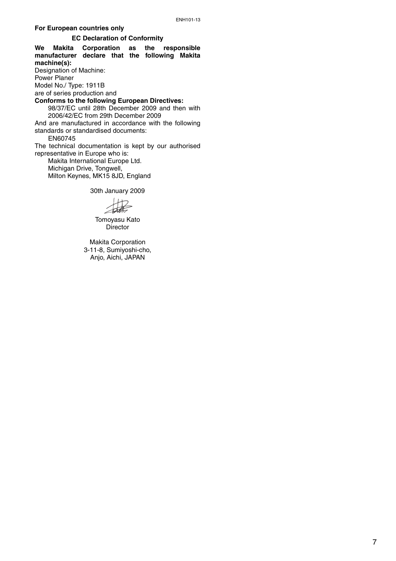#### **For European countries only**

#### **EC Declaration of Conformity**

**We Makita Corporation as the responsible manufacturer declare that the following Makita machine(s):** Designation of Machine: Power Planer Model No./ Type: 1911B are of series production and **Conforms to the following European Directives:**  98/37/EC until 28th December 2009 and then with 2006/42/EC from 29th December 2009 And are manufactured in accordance with the following standards or standardised documents: EN60745 The technical documentation is kept by our authorised representative in Europe who is: Makita International Europe Ltd. Michigan Drive, Tongwell, Milton Keynes, MK15 8JD, England

30th January 2009

Tomoyasu Kato Director

Makita Corporation 3-11-8, Sumiyoshi-cho, Anjo, Aichi, JAPAN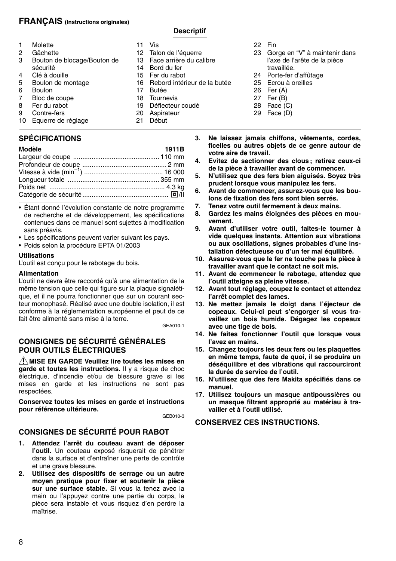## **FRANÇAIS (Instructions originales)**

## **Descriptif**

|   | Molette                                 |
|---|-----------------------------------------|
| 2 | Gâchette                                |
| 3 | Bouton de blocage/Bouton de<br>sécurité |
|   |                                         |

- 4 Clé à douille
- 5 Boulon de montage<br>6 Boulon
- 6 Boulon<br>7 Bloc de
- 7 Bloc de coupe<br>8 Fer du rabot
- 8 Fer du rabot<br>9 Contre-fers
- Contre-fers
- 10 Equerre de réglage

## **SPÉCIFICATIONS**

| Modèle | 1911B |
|--------|-------|
|        |       |
|        |       |
|        |       |
|        |       |
|        |       |
|        |       |
|        |       |

- Étant donné l'évolution constante de notre programme de recherche et de développement, les spécifications contenues dans ce manuel sont sujettes à modification sans préavis.
- Les spécifications peuvent varier suivant les pays.
- Poids selon la procédure EPTA 01/2003

#### **Utilisations**

L'outil est conçu pour le rabotage du bois.

#### **Alimentation**

L'outil ne devra être raccordé qu'à une alimentation de la même tension que celle qui figure sur la plaque signalétique, et il ne pourra fonctionner que sur un courant secteur monophasé. Réalisé avec une double isolation, il est conforme à la réglementation européenne et peut de ce fait être alimenté sans mise à la terre. GEA010-1

## **CONSIGNES DE SÉCURITÉ GÉNÉRALES POUR OUTILS ÉLECTRIQUES**

**MISE EN GARDE Veuillez lire toutes les mises en garde et toutes les instructions.** Il y a risque de choc électrique, d'incendie et/ou de blessure grave si les mises en garde et les instructions ne sont pas respectées.

**Conservez toutes les mises en garde et instructions pour référence ultérieure.**

GEB010-3

## **CONSIGNES DE SÉCURITÉ POUR RABOT**

- **1. Attendez l'arrêt du couteau avant de déposer l'outil.** Un couteau exposé risquerait de pénétrer dans la surface et d'entraîner une perte de contrôle et une grave blessure.
- **2. Utilisez des dispositifs de serrage ou un autre moyen pratique pour fixer et soutenir la pièce sur une surface stable.** Si vous la tenez avec la main ou l'appuyez contre une partie du corps, la pièce sera instable et vous risquez d'en perdre la maîtrise.
- 11 Vis<br>12 Tak
	-
- 12 Talon de l'équerre<br>13 Eace arrière du ca
- 13 Face arrière du calibre<br>14 Bord du fer
- 14 Bord du fer<br>15 Fer du rabo 15 Fer du rabot<br>16 Rebord intér
- 16 Rebord intérieur de la butée<br>17 Butée
- **Butée**
- 18 Tournevis<br>19 Déflecteur
- Déflecteur coudé
- 20 Aspirateur
- 21 Début
- **3. Ne laissez jamais chiffons, vêtements, cordes, ficelles ou autres objets de ce genre autour de votre aire de travail.**

travaillée. 24 Porte-fer d'affûtage 25 Ecrou à oreilles 26 Fer (A) 27 Fer (B)  $28$  Face  $(C)$ 29 Face (D)

22 Fin

23 Gorge en "V" à maintenir dans l'axe de l'arête de la pièce

- **4. Evitez de sectionner des clous ; retirez ceux-ci de la pièce à travailler avant de commencer.**
- **5. N'utilisez que des fers bien aiguisés. Soyez très prudent lorsque vous manipulez les fers.**
- **6. Avant de commencer, assurez-vous que les boulons de fixation des fers sont bien serrés.**
- **7. Tenez votre outil fermement à deux mains.**
- **8. Gardez les mains éloignées des pièces en mouvement.**
- **9. Avant d'utiliser votre outil, faites-le tourner à vide quelques instants. Attention aux vibrations ou aux oscillations, signes probables d'une installation défectueuse ou d'un fer mal équilibré.**
- **10. Assurez-vous que le fer ne touche pas la pièce à travailler avant que le contact ne soit mis.**
- **11. Avant de commencer le rabotage, attendez que l'outil atteigne sa pleine vitesse.**
- **12. Avant tout réglage, coupez le contact et attendez l'arrêt complet des lames.**
- **13. Ne mettez jamais le doigt dans l'éjecteur de copeaux. Celui-ci peut s'engorger si vous travaillez un bois humide. Dégagez les copeaux avec une tige de bois.**
- **14. Ne faites fonctionner l'outil que lorsque vous l'avez en mains.**
- **15. Changez toujours les deux fers ou les plaquettes en même temps, faute de quoi, il se produira un déséquilibre et des vibrations qui raccourciront la durée de service de l'outil.**
- **16. N'utilisez que des fers Makita spécifiés dans ce manuel.**
- **17. Utilisez toujours un masque antipoussières ou un masque filtrant approprié au matériau à travailler et à l'outil utilisé.**

#### **CONSERVEZ CES INSTRUCTIONS.**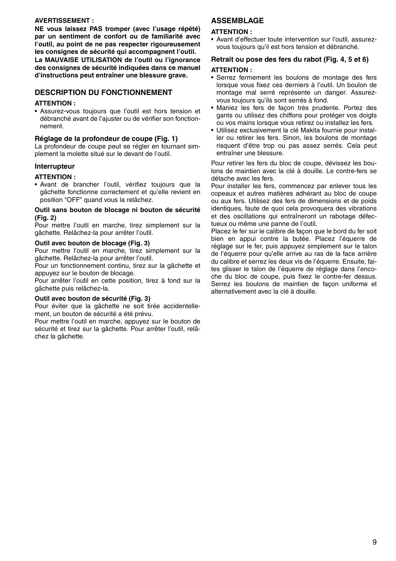#### **AVERTISSEMENT :**

**NE vous laissez PAS tromper (avec l'usage répété) par un sentiment de confort ou de familiarité avec l'outil, au point de ne pas respecter rigoureusement les consignes de sécurité qui accompagnent l'outil. La MAUVAISE UTILISATION de l'outil ou l'ignorance des consignes de sécurité indiquées dans ce manuel d'instructions peut entraîner une blessure grave.** 

## **DESCRIPTION DU FONCTIONNEMENT**

#### **ATTENTION :**

• Assurez-vous toujours que l'outil est hors tension et débranché avant de l'ajuster ou de vérifier son fonctionnement.

#### **Réglage de la profondeur de coupe (Fig. 1)**

La profondeur de coupe peut se régler en tournant simplement la molette situé sur le devant de l'outil.

## **Interrupteur**

#### **ATTENTION :**

• Avant de brancher l'outil, vérifiez toujours que la gâchette fonctionne correctement et qu'elle revient en position "OFF" quand vous la relâchez.

#### **Outil sans bouton de blocage ni bouton de sécurité (Fig. 2)**

Pour mettre l'outil en marche, tirez simplement sur la gâchette. Relâchez-la pour arrêter l'outil.

#### **Outil avec bouton de blocage (Fig. 3)**

Pour mettre l'outil en marche, tirez simplement sur la gâchette. Relâchez-la pour arrêter l'outil.

Pour un fonctionnement continu, tirez sur la gâchette et appuyez sur le bouton de blocage.

Pour arrêter l'outil en cette position, tirez à fond sur la gâchette puis relâchez-la.

#### **Outil avec bouton de sécurité (Fig. 3)**

Pour éviter que la gâchette ne soit tirée accidentellement, un bouton de sécurité a été prévu.

Pour mettre l'outil en marche, appuyez sur le bouton de sécurité et tirez sur la gâchette. Pour arrêter l'outil, relâchez la gâchette.

## **ASSEMBLAGE**

#### **ATTENTION :**

• Avant d'effectuer toute intervention sur l'outil, assurezvous toujours qu'il est hors tension et débranché.

#### **Retrait ou pose des fers du rabot (Fig. 4, 5 et 6)**

#### **ATTENTION :**

- Serrez fermement les boulons de montage des fers lorsque vous fixez ces derniers à l'outil. Un boulon de montage mal serré représente un danger. Assurezvous toujours qu'ils sont serrés à fond.
- Maniez les fers de façon très prudente. Portez des gants ou utilisez des chiffons pour protéger vos doigts ou vos mains lorsque vous retirez ou installez les fers.
- Utilisez exclusivement la clé Makita fournie pour installer ou retirer les fers. Sinon, les boulons de montage risquent d'être trop ou pas assez serrés. Cela peut entraîner une blessure.

Pour retirer les fers du bloc de coupe, dévissez les boulons de maintien avec la clé à douille. Le contre-fers se détache avec les fers.

Pour installer les fers, commencez par enlever tous les copeaux et autres matières adhérant au bloc de coupe ou aux fers. Utilisez des fers de dimensions et de poids identiques, faute de quoi cela provoquera des vibrations et des oscillations qui entraîneront un rabotage défectueux ou même une panne de l'outil.

Placez le fer sur le calibre de façon que le bord du fer soit bien en appui contre la butée. Placez l'équerre de réglage sur le fer, puis appuyez simplement sur le talon de l'équerre pour qu'elle arrive au ras de la face arrière du calibre et serrez les deux vis de l'équerre. Ensuite, faites glisser le talon de l'équerre de réglage dans l'encoche du bloc de coupe, puis fixez le contre-fer dessus. Serrez les boulons de maintien de façon uniforme et alternativement avec la clé à douille.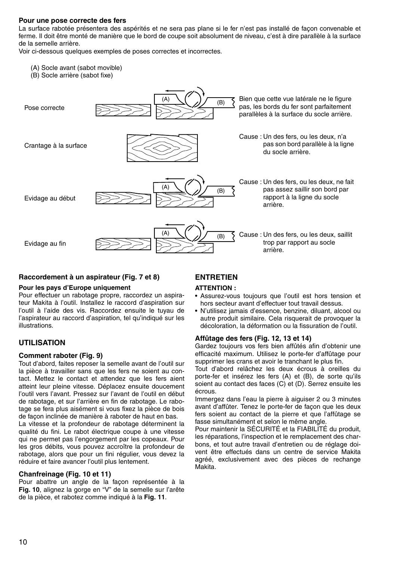#### **Pour une pose correcte des fers**

La surface rabotée présentera des aspérités et ne sera pas plane si le fer n'est pas installé de façon convenable et ferme. Il doit être monté de manière que le bord de coupe soit absolument de niveau, c'est à dire parallèle à la surface de la semelle arrière.

Voir ci-dessous quelques exemples de poses correctes et incorrectes.

- (A) Socle avant (sabot movible)
- (B) Socle arrière (sabot fixe)



#### **Raccordement à un aspirateur (Fig. 7 et 8)**

#### **Pour les pays d'Europe uniquement**

Pour effectuer un rabotage propre, raccordez un aspirateur Makita à l'outil. Installez le raccord d'aspiration sur l'outil à l'aide des vis. Raccordez ensuite le tuyau de l'aspirateur au raccord d'aspiration, tel qu'indiqué sur les illustrations.

## **UTILISATION**

#### **Comment raboter (Fig. 9)**

Tout d'abord, faites reposer la semelle avant de l'outil sur la pièce à travailler sans que les fers ne soient au contact. Mettez le contact et attendez que les fers aient atteint leur pleine vitesse. Déplacez ensuite doucement l'outil vers l'avant. Pressez sur l'avant de l'outil en début de rabotage, et sur l'arrière en fin de rabotage. Le rabotage se fera plus aisément si vous fixez la pièce de bois de façon inclinée de manière à raboter de haut en bas.

La vitesse et la profondeur de rabotage déterminent la qualité du fini. Le rabot électrique coupe à une vitesse qui ne permet pas l'engorgement par les copeaux. Pour les gros débits, vous pouvez accroître la profondeur de rabotage, alors que pour un fini régulier, vous devez la réduire et faire avancer l'outil plus lentement.

#### **Chanfreinage (Fig. 10 et 11)**

Pour abattre un angle de la façon représentée à la **Fig. 10**, alignez la gorge en "V" de la semelle sur l'arête de la pièce, et rabotez comme indiqué à la **Fig. 11**.

## **ENTRETIEN**

#### **ATTENTION :**

- Assurez-vous toujours que l'outil est hors tension et hors secteur avant d'effectuer tout travail dessus.
- N'utilisez jamais d'essence, benzine, diluant, alcool ou autre produit similaire. Cela risquerait de provoquer la décoloration, la déformation ou la fissuration de l'outil.

#### **Affûtage des fers (Fig. 12, 13 et 14)**

Gardez toujours vos fers bien affûtés afin d'obtenir une efficacité maximum. Utilisez le porte-fer d'affûtage pour supprimer les crans et avoir le tranchant le plus fin.

Tout d'abord relâchez les deux écrous à oreilles du porte-fer et insérez les fers (A) et (B), de sorte qu'ils soient au contact des faces (C) et (D). Serrez ensuite les écrous.

Immergez dans l'eau la pierre à aiguiser 2 ou 3 minutes avant d'affûter. Tenez le porte-fer de façon que les deux fers soient au contact de la pierre et que l'affûtage se fasse simultanément et selon le même angle.

Pour maintenir la SÉCURITÉ et la FIABILITÉ du produit, les réparations, l'inspection et le remplacement des charbons, et tout autre travail d'entretien ou de réglage doivent être effectués dans un centre de service Makita agréé, exclusivement avec des pièces de rechange Makita.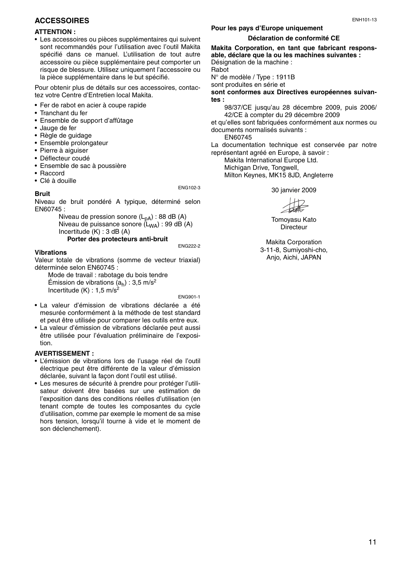## **ACCESSOIRES**

#### **ATTENTION :**

• Les accessoires ou pièces supplémentaires qui suivent sont recommandés pour l'utilisation avec l'outil Makita spécifié dans ce manuel. L'utilisation de tout autre accessoire ou pièce supplémentaire peut comporter un risque de blessure. Utilisez uniquement l'accessoire ou la pièce supplémentaire dans le but spécifié.

Pour obtenir plus de détails sur ces accessoires, contactez votre Centre d'Entretien local Makita.

- Fer de rabot en acier à coupe rapide
- Tranchant du fer
- Ensemble de support d'affûtage
- Jauge de fer
- Règle de guidage
- Ensemble prolongateur
- Pierre à aiguiser
- Déflecteur coudé
- Ensemble de sac à poussière
- Raccord
- Clé à douille

ENG102-3

**Bruit**

Niveau de bruit pondéré A typique, déterminé selon EN60745 :

Niveau de pression sonore  $(L_{nA})$  : 88 dB (A) Niveau de puissance sonore (L<sub>WA</sub>) : 99 dB (A) Incertitude (K) : 3 dB (A)

## **Porter des protecteurs anti-bruit**

#### ENG222-2

#### **Vibrations**

Valeur totale de vibrations (somme de vecteur triaxial) déterminée selon EN60745 :

Mode de travail : rabotage du bois tendre Émission de vibrations  $(a_h)$  : 3,5 m/s<sup>2</sup> Incertitude  $(K)$  : 1.5 m/s<sup>2</sup>

ENG901-1

- La valeur d'émission de vibrations déclarée a été mesurée conformément à la méthode de test standard et peut être utilisée pour comparer les outils entre eux.
- La valeur d'émission de vibrations déclarée peut aussi être utilisée pour l'évaluation préliminaire de l'exposition.

#### **AVERTISSEMENT :**

- L'émission de vibrations lors de l'usage réel de l'outil électrique peut être différente de la valeur d'émission déclarée, suivant la façon dont l'outil est utilisé.
- Les mesures de sécurité à prendre pour protéger l'utilisateur doivent être basées sur une estimation de l'exposition dans des conditions réelles d'utilisation (en tenant compte de toutes les composantes du cycle d'utilisation, comme par exemple le moment de sa mise hors tension, lorsqu'il tourne à vide et le moment de son déclenchement).

## **Pour les pays d'Europe uniquement**

#### **Déclaration de conformité CE**

**Makita Corporation, en tant que fabricant responsable, déclare que la ou les machines suivantes :** Désignation de la machine : Rabot N° de modèle / Type : 1911B sont produites en série et

**sont conformes aux Directives européennes suivantes :**

98/37/CE jusqu'au 28 décembre 2009, puis 2006/ 42/CE à compter du 29 décembre 2009

et qu'elles sont fabriquées conformément aux normes ou documents normalisés suivants :

EN60745

La documentation technique est conservée par notre représentant agréé en Europe, à savoir :

Makita International Europe Ltd. Michigan Drive, Tongwell. Milton Keynes, MK15 8JD, Angleterre

30 janvier 2009

Tomoyasu Kato Directeur

Makita Corporation 3-11-8, Sumiyoshi-cho, Anjo, Aichi, JAPAN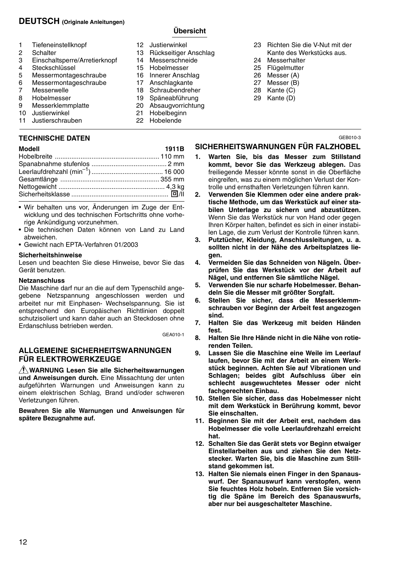## **DEUTSCH (Originale Anleitungen)**

## **Übersicht**

- 1 Tiefeneinstellknopf<br>2 Schalter 2 Schalter<br>3 Finschal 3 Einschaltsperre/Arretierknopf 4 Steckschlüssel<br>5 Messermontag 5 Messermontageschraube<br>6 Messermontageschraube 6 Messermontageschraube 7 Messerwelle<br>8 Hobelmesser 8 Hobelmesser<br>9 Messerklemm Messerklemmplatte 10 Justierwinkel 11 Justierschrauben 12 Justierwinkel 13 Rückseitiger Anschlag<br>14 Messerschneide 14 Messerschneide<br>15 Hobelmesser **Hobelmesser** 16 Innerer Anschlag 17 Anschlagkante<br>18 Schraubendreh 18 Schraubendreher<br>19 Späneabführung 19 Späneabführung<br>20 Absaugvorrichtur 20 Absaugvorrichtung **Hobelbeginn** 22 Hobelende 23 Richten Sie die V-Nut mit der Kante des Werkstücks aus. 24 Messerhalter 25 Flügelmutter 26 Messer (A) 27 Messer (B) 28 Kante (C) 29 Kante (D)
	- **TECHNISCHE DATEN**

#### **Modell 1911B**

- Wir behalten uns vor, Änderungen im Zuge der Entwicklung und des technischen Fortschritts ohne vorherige Ankündigung vorzunehmen.
- Die technischen Daten können von Land zu Land abweichen.
- Gewicht nach EPTA-Verfahren 01/2003

## **Sicherheitshinweise**

Lesen und beachten Sie diese Hinweise, bevor Sie das Gerät benutzen.

#### **Netzanschluss**

Die Maschine darf nur an die auf dem Typenschild angegebene Netzspannung angeschlossen werden und arbeitet nur mit Einphasen- Wechselspannung. Sie ist entsprechend den Europäischen Richtlinien doppelt schutzisoliert und kann daher auch an Steckdosen ohne Erdanschluss betrieben werden.

GEA010-1

## **ALLGEMEINE SICHERHEITSWARNUNGEN FÜR ELEKTROWERKZEUGE**

**WARNUNG Lesen Sie alle Sicherheitswarnungen und Anweisungen durch.** Eine Missachtung der unten aufgeführten Warnungen und Anweisungen kann zu einem elektrischen Schlag, Brand und/oder schweren Verletzungen führen.

**Bewahren Sie alle Warnungen und Anweisungen für spätere Bezugnahme auf.**

- **SICHERHEITSWARNUNGEN FÜR FALZHOBEL**
	- **1. Warten Sie, bis das Messer zum Stillstand kommt, bevor Sie das Werkzeug ablegen.** Das freiliegende Messer könnte sonst in die Oberfläche eingreifen, was zu einem möglichen Verlust der Kontrolle und ernsthaften Verletzungen führen kann.
	- **2. Verwenden Sie Klemmen oder eine andere praktische Methode, um das Werkstück auf einer stabilen Unterlage zu sichern und abzustützen.** Wenn Sie das Werkstück nur von Hand oder gegen Ihren Körper halten, befindet es sich in einer instabilen Lage, die zum Verlust der Kontrolle führen kann.
	- **3. Putztücher, Kleidung, Anschlussleitungen, u. a. sollten nicht in der Nähe des Arbeitsplatzes liegen.**
	- **4. Vermeiden Sie das Schneiden von Nägeln. Überprüfen Sie das Werkstück vor der Arbeit auf Nägel, und entfernen Sie sämtliche Nägel.**
	- **5. Verwenden Sie nur scharfe Hobelmesser. Behandeln Sie die Messer mit größter Sorgfalt.**
	- **6. Stellen Sie sicher, dass die Messerklemmschrauben vor Beginn der Arbeit fest angezogen sind.**
	- **7. Halten Sie das Werkzeug mit beiden Händen fest.**
	- **8. Halten Sie Ihre Hände nicht in die Nähe von rotierenden Teilen.**
	- **9. Lassen Sie die Maschine eine Weile im Leerlauf laufen, bevor Sie mit der Arbeit an einem Werkstück beginnen. Achten Sie auf Vibrationen und Schlagen; beides gibt Aufschluss über ein schlecht ausgewuchtetes Messer oder nicht fachgerechten Einbau.**
	- **10. Stellen Sie sicher, dass das Hobelmesser nicht mit dem Werkstück in Berührung kommt, bevor Sie einschalten.**
	- **11. Beginnen Sie mit der Arbeit erst, nachdem das Hobelmesser die volle Leerlaufdrehzahl erreicht hat.**
	- **12. Schalten Sie das Gerät stets vor Beginn etwaiger Einstellarbeiten aus und ziehen Sie den Netzstecker. Warten Sie, bis die Maschine zum Stillstand gekommen ist.**
	- **13. Halten Sie niemals einen Finger in den Spanauswurf. Der Spanauswurf kann verstopfen, wenn Sie feuchtes Holz hobeln. Entfernen Sie vorsichtig die Späne im Bereich des Spanauswurfs, aber nur bei ausgeschalteter Maschine.**

GEB010-3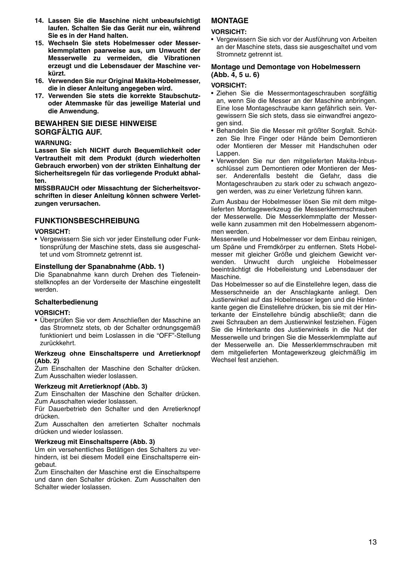- **14. Lassen Sie die Maschine nicht unbeaufsichtigt laufen. Schalten Sie das Gerät nur ein, während Sie es in der Hand halten.**
- **15. Wechseln Sie stets Hobelmesser oder Messerklemmplatten paarweise aus, um Unwucht der Messerwelle zu vermeiden, die Vibrationen erzeugt und die Lebensdauer der Maschine verkürzt.**
- **16. Verwenden Sie nur Original Makita-Hobelmesser, die in dieser Anleitung angegeben wird.**
- **17. Verwenden Sie stets die korrekte Staubschutzoder Atemmaske für das jeweilige Material und die Anwendung.**

### **BEWAHREN SIE DIESE HINWEISE SORGFÄLTIG AUF.**

#### **WARNUNG:**

**Lassen Sie sich NICHT durch Bequemlichkeit oder Vertrautheit mit dem Produkt (durch wiederholten Gebrauch erworben) von der strikten Einhaltung der Sicherheitsregeln für das vorliegende Produkt abhalten.** 

**MISSBRAUCH oder Missachtung der Sicherheitsvorschriften in dieser Anleitung können schwere Verletzungen verursachen.** 

## **FUNKTIONSBESCHREIBUNG**

#### **VORSICHT:**

• Vergewissern Sie sich vor jeder Einstellung oder Funktionsprüfung der Maschine stets, dass sie ausgeschaltet und vom Stromnetz getrennt ist.

#### **Einstellung der Spanabnahme (Abb. 1)**

Die Spanabnahme kann durch Drehen des Tiefeneinstellknopfes an der Vorderseite der Maschine eingestellt werden.

#### **Schalterbedienung**

#### **VORSICHT:**

• Überprüfen Sie vor dem Anschließen der Maschine an das Stromnetz stets, ob der Schalter ordnungsgemäß funktioniert und beim Loslassen in die "OFF"-Stellung zurückkehrt.

#### **Werkzeug ohne Einschaltsperre und Arretierknopf (Abb. 2)**

Zum Einschalten der Maschine den Schalter drücken. Zum Ausschalten wieder loslassen.

#### **Werkzeug mit Arretierknopf (Abb. 3)**

Zum Einschalten der Maschine den Schalter drücken. Zum Ausschalten wieder loslassen.

Für Dauerbetrieb den Schalter und den Arretierknopf drücken.

Zum Ausschalten den arretierten Schalter nochmals drücken und wieder loslassen.

#### **Werkzeug mit Einschaltsperre (Abb. 3)**

Um ein versehentliches Betätigen des Schalters zu verhindern, ist bei diesem Modell eine Einschaltsperre eingebaut.

Zum Einschalten der Maschine erst die Einschaltsperre und dann den Schalter drücken. Zum Ausschalten den Schalter wieder loslassen.

## **MONTAGE**

#### **VORSICHT:**

• Vergewissern Sie sich vor der Ausführung von Arbeiten an der Maschine stets, dass sie ausgeschaltet und vom Stromnetz getrennt ist.

#### **Montage und Demontage von Hobelmessern (Abb. 4, 5 u. 6)**

#### **VORSICHT:**

- Ziehen Sie die Messermontageschrauben sorgfältig an, wenn Sie die Messer an der Maschine anbringen. Eine lose Montageschraube kann gefährlich sein. Vergewissern Sie sich stets, dass sie einwandfrei angezogen sind.
- Behandeln Sie die Messer mit größter Sorgfalt. Schützen Sie Ihre Finger oder Hände beim Demontieren oder Montieren der Messer mit Handschuhen oder Lappen.
- Verwenden Sie nur den mitgelieferten Makita-Inbusschlüssel zum Demontieren oder Montieren der Messer. Anderenfalls besteht die Gefahr, dass die Montageschrauben zu stark oder zu schwach angezogen werden, was zu einer Verletzung führen kann.

Zum Ausbau der Hobelmesser lösen Sie mit dem mitgelieferten Montagewerkzeug die Messerklemmschrauben der Messerwelle. Die Messerklemmplatte der Messerwelle kann zusammen mit den Hobelmessern abgenommen werden.

Messerwelle und Hobelmesser vor dem Einbau reinigen, um Späne und Fremdkörper zu entfernen. Stets Hobelmesser mit gleicher Größe und gleichem Gewicht verwenden. Unwucht durch ungleiche Hobelmesser beeinträchtigt die Hobelleistung und Lebensdauer der Maschine.

Das Hobelmesser so auf die Einstellehre legen, dass die Messerschneide an der Anschlagkante anliegt. Den Justierwinkel auf das Hobelmesser legen und die Hinterkante gegen die Einstellehre drücken, bis sie mit der Hinterkante der Einstellehre bündig abschließt; dann die zwei Schrauben an dem Justierwinkel festziehen. Fügen Sie die Hinterkante des Justierwinkels in die Nut der Messerwelle und bringen Sie die Messerklemmplatte auf der Messerwelle an. Die Messerklemmschrauben mit dem mitgelieferten Montagewerkzeug gleichmäßig im Wechsel fest anziehen.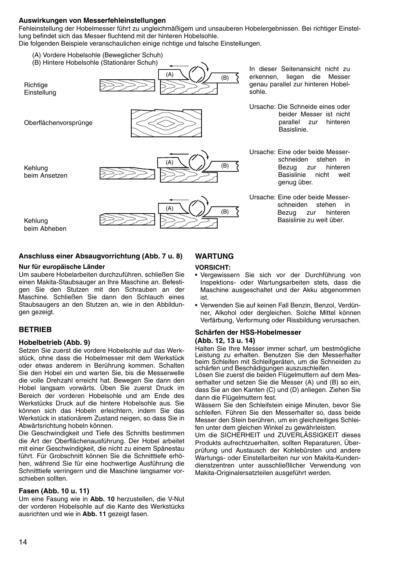#### **Auswirkungen von Messerfehleinstellungen**

Fehleinstellung der Hobelmesser führt zu ungleichmäßigem und unsauberen Hobelergebnissen. Bei richtiger Einstellung befindet sich das Messer fluchtend mit der hinteren Hobelsohle.

Die folgenden Beispiele veranschaulichen einige richtige und falsche Einstellungen.

- (A) Vordere Hobelsohle (Beweglicher Schuh)
- (B) Hintere Hobelsohle (Stationärer Schuh)



Oberflächenvorsprünge



(B) (A)



In dieser Seitenansicht nicht zu erkennen, liegen die Messer genau parallel zur hinteren Hobelsohle.

- Ursache: Die Schneide eines oder beider Messer ist nicht<br>parallel zur hinteren parallel .<br>Basislinie
- Ursache: Eine oder beide Messer-<br>schneiden stehen in schneiden stehen in<br>Bezug zur binteren Bezug zur hin<br>Basislinie nicht Basislinie nicht weit genug über.
- Ursache: Eine oder beide Messerschneiden stehen in Bezug zur hinteren Basislinie zu weit über.

### **Anschluss einer Absaugvorrichtung (Abb. 7 u. 8)**

#### **Nur für europäische Länder**

Um saubere Hobelarbeiten durchzuführen, schließen Sie einen Makita-Staubsauger an Ihre Maschine an. Befestigen Sie den Stutzen mit den Schrauben an der Maschine. Schließen Sie dann den Schlauch eines Staubsaugers an den Stutzen an, wie in den Abbildungen gezeigt.

## **BETRIEB**

Kehlung beim Ansetzen

Kehlung

#### **Hobelbetrieb (Abb. 9)**

Setzen Sie zuerst die vordere Hobelsohle auf das Werkstück, ohne dass die Hobelmesser mit dem Werkstück oder etwas anderem in Berührung kommen. Schalten Sie den Hobel ein und warten Sie, bis die Messerwelle die volle Drehzahl erreicht hat. Bewegen Sie dann den Hobel langsam vorwärts. Üben Sie zuerst Druck im Bereich der vorderen Hobelsohle und am Ende des Werkstücks Druck auf die hintere Hobelsohle aus. Sie können sich das Hobeln erleichtern, indem Sie das Werkstück in stationärem Zustand neigen, so dass Sie in Abwärtsrichtung hobeln können.

Die Geschwindigkeit und Tiefe des Schnitts bestimmen die Art der Oberflächenausführung. Der Hobel arbeitet mit einer Geschwindigkeit, die nicht zu einem Spänestau führt. Für Grobschnitt können Sie die Schnitttiefe erhöhen, während Sie für eine hochwertige Ausführung die Schnitttiefe verringern und die Maschine langsamer vorschieben sollten.

#### **Fasen (Abb. 10 u. 11)**

Um eine Fasung wie in **Abb. 10** herzustellen, die V-Nut der vorderen Hobelsohle auf die Kante des Werkstücks ausrichten und wie in **Abb. 11** gezeigt fasen.

## **WARTUNG**

#### **VORSICHT:**

- Vergewissern Sie sich vor der Durchführung von Inspektions- oder Wartungsarbeiten stets, dass die Maschine ausgeschaltet und der Akku abgenommen ist.
- Verwenden Sie auf keinen Fall Benzin, Benzol, Verdünner, Alkohol oder dergleichen. Solche Mittel können Verfärbung, Verformung oder Rissbildung verursachen.

# **Schärfen der HSS-Hobelmesser**

## **(Abb. 12, 13 u. 14)**

Halten Sie Ihre Messer immer scharf, um bestmögliche Leistung zu erhalten. Benutzen Sie den Messerhalter beim Schleifen mit Schleifgeräten, um die Schneiden zu schärfen und Beschädigungen auszuschleifen.

Lösen Sie zuerst die beiden Flügelmuttern auf dem Messerhalter und setzen Sie die Messer (A) und (B) so ein, dass Sie an den Kanten (C) und (D) anliegen. Ziehen Sie dann die Flügelmuttern fest.

Wässern Sie den Schleifstein einige Minuten, bevor Sie schleifen. Führen Sie den Messerhalter so, dass beide Messer den Stein berühren, um ein gleichzeitiges Schleifen unter dem gleichen Winkel zu gewährleisten.

Um die SICHERHEIT und ZUVERLÄSSIGKEIT dieses Produkts aufrechtzuerhalten, sollten Reparaturen, Überprüfung und Austausch der Kohlebürsten und andere Wartungs- oder Einstellarbeiten nur von Makita-Kundendienstzentren unter ausschließlicher Verwendung von Makita-Originalersatzteilen ausgeführt werden.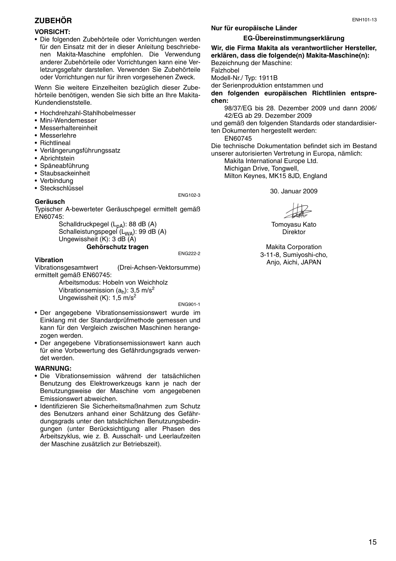## **ZUBEHÖR**

#### **VORSICHT:**

• Die folgenden Zubehörteile oder Vorrichtungen werden für den Einsatz mit der in dieser Anleitung beschriebenen Makita-Maschine empfohlen. Die Verwendung anderer Zubehörteile oder Vorrichtungen kann eine Verletzungsgefahr darstellen. Verwenden Sie Zubehörteile oder Vorrichtungen nur für ihren vorgesehenen Zweck.

Wenn Sie weitere Einzelheiten bezüglich dieser Zubehörteile benötigen, wenden Sie sich bitte an Ihre Makita-Kundendienststelle.

- Hochdrehzahl-Stahlhobelmesser
- Mini-Wendemesser
- Messerhaltereinheit
- Messerlehre
- Richtlineal
- Verlängerungsführungssatz
- Abrichtstein
- Späneabführung
- Staubsackeinheit
- Verbindung

**Geräusch**

• Steckschlüssel

#### ENG102-3

Typischer A-bewerteter Geräuschpegel ermittelt gemäß EN60745:

> Schalldruckpegel (L<sub>pA</sub>): 88 dB (A) Schalleistungspegel (L<sub>WA</sub>): 99 dB (A) Ungewissheit (K): 3 dB (A) **Gehörschutz tragen**

ENG222-2

#### **Vibration**

Vibrationsgesamtwert (Drei-Achsen-Vektorsumme) ermittelt gemäß EN60745:

Arbeitsmodus: Hobeln von Weichholz Vibrationsemission  $(a_h)$ : 3,5 m/s<sup>2</sup> Ungewissheit (K): 1,5 m/s<sup>2</sup>

ENG901-1

- Der angegebene Vibrationsemissionswert wurde im Einklang mit der Standardprüfmethode gemessen und kann für den Vergleich zwischen Maschinen herangezogen werden.
- Der angegebene Vibrationsemissionswert kann auch für eine Vorbewertung des Gefährdungsgrads verwendet werden.

#### **WARNUNG:**

- Die Vibrationsemission während der tatsächlichen Benutzung des Elektrowerkzeugs kann je nach der Benutzungsweise der Maschine vom angegebenen Emissionswert abweichen.
- Identifizieren Sie Sicherheitsmaßnahmen zum Schutz des Benutzers anhand einer Schätzung des Gefährdungsgrads unter den tatsächlichen Benutzungsbedingungen (unter Berücksichtigung aller Phasen des Arbeitszyklus, wie z. B. Ausschalt- und Leerlaufzeiten der Maschine zusätzlich zur Betriebszeit).

## **Nur für europäische Länder**

#### **EG-Übereinstimmungserklärung**

**Wir, die Firma Makita als verantwortlicher Hersteller, erklären, dass die folgende(n) Makita-Maschine(n):** Bezeichnung der Maschine: Falzhobel Modell-Nr./ Typ: 1911B der Serienproduktion entstammen und **den folgenden europäischen Richtlinien entsprechen:** 98/37/EG bis 28. Dezember 2009 und dann 2006/ 42/EG ab 29. Dezember 2009

und gemäß den folgenden Standards oder standardisierten Dokumenten hergestellt werden:

EN60745

Die technische Dokumentation befindet sich im Bestand unserer autorisierten Vertretung in Europa, nämlich:

Makita International Europe Ltd. Michigan Drive, Tongwell, Milton Keynes, MK15 8JD, England

30. Januar 2009

Tomoyasu Kato **Direktor** 

Makita Corporation 3-11-8, Sumiyoshi-cho, Anjo, Aichi, JAPAN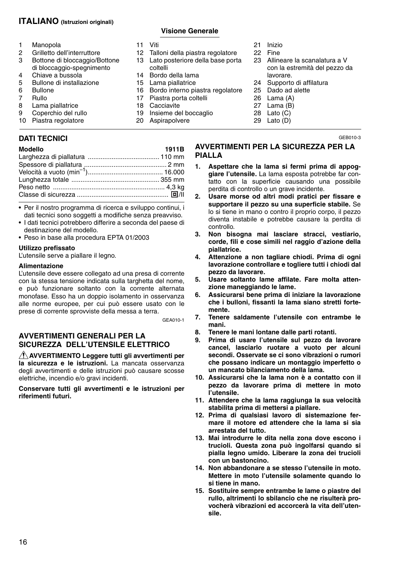## **ITALIANO (Istruzioni originali)**

- 1 Manopola<br>2 Grilletto de
- 2 Grilletto dell'interruttore<br>3 Bottone di bloccaggio/B Bottone di bloccaggio/Bottone di bloccaggio-spegnimento
- 
- 4 Chiave a bussola<br>5 Bullone di installa 5 Bullone di installazione<br>6 Bullone
- 6 Bullone<br>7 Bullo
- 
- 7 Rullo<br>8 Lama 8 Lama piallatrice<br>9 Conerchio del ru
- Coperchio del rullo
- 10 Piastra regolatore

## **DATI TECNICI**

| Modello |  |
|---------|--|
|---------|--|

| Modello | 1911B |
|---------|-------|
|         |       |
|         |       |
|         |       |
|         |       |
|         |       |
|         |       |
|         |       |

- Per il nostro programma di ricerca e sviluppo continui, i dati tecnici sono soggetti a modifiche senza preavviso.
- I dati tecnici potrebbero differire a seconda del paese di destinazione del modello.
- Peso in base alla procedura EPTA 01/2003

#### **Utilizzo prefissato**

L'utensile serve a piallare il legno.

#### **Alimentazione**

L'utensile deve essere collegato ad una presa di corrente con la stessa tensione indicata sulla targhetta del nome, e può funzionare soltanto con la corrente alternata monofase. Esso ha un doppio isolamento in osservanza alle norme europee, per cui può essere usato con le prese di corrente sprovviste della messa a terra.

GEA010-1

## **AVVERTIMENTI GENERALI PER LA SICUREZZA DELL'UTENSILE ELETTRICO**

**AVVERTIMENTO Leggere tutti gli avvertimenti per la sicurezza e le istruzioni.** La mancata osservanza degli avvertimenti e delle istruzioni può causare scosse elettriche, incendio e/o gravi incidenti.

**Conservare tutti gli avvertimenti e le istruzioni per riferimenti futuri.**

- 11 Viti
	-
- 12 Talloni della piastra regolatore<br>13 Lato posteriore della base port Lato posteriore della base porta

**Visione Generale** 

- coltelli
- 14 Bordo della lama<br>15 Lama piallatrice
- 15 Lama piallatrice<br>16 Bordo interno pi
- 16 Bordo interno piastra regolatore<br>17 Piastra porta coltelli
- Piastra porta coltelli
- 18 Cacciavite<br>19 Insieme de
- Insieme del boccaglio
- 20 Aspirapolvere
- 21 Inizio
- 22 Fine
- 23 Allineare la scanalatura a V con la estremità del pezzo da lavorare.
- 24 Supporto di affilatura<br>25 Dado ad alette
- Dado ad alette
- 26 Lama (A)
- $27$  Lama (B)
- 28 Lato  $(\dot{C})$
- 29 Lato (D)

GEB010-3

## **AVVERTIMENTI PER LA SICUREZZA PER LA PIALLA**

- **1. Aspettare che la lama si fermi prima di appoggiare l'utensile.** La lama esposta potrebbe far contatto con la superficie causando una possibile perdita di controllo o un grave incidente.
- **2. Usare morse od altri modi pratici per fissare e supportare il pezzo su una superficie stabile.** Se lo si tiene in mano o contro il proprio corpo, il pezzo diventa instabile e potrebbe causare la perdita di controllo.
- **3. Non bisogna mai lasciare stracci, vestiario, corde, fili e cose simili nel raggio d'azione della piallatrice.**
- **4. Attenzione a non tagliare chiodi. Prima di ogni lavorazione controllare e togliere tutti i chiodi dal pezzo da lavorare.**
- **5. Usare soltanto lame affilate. Fare molta attenzione maneggiando le lame.**
- **6. Assicurarsi bene prima di iniziare la lavorazione che i bulloni, fissanti la lama siano stretti fortemente.**
- **7. Tenere saldamente l'utensile con entrambe le mani.**
- **8. Tenere le mani lontane dalle parti rotanti.**
- **9. Prima di usare l'utensile sul pezzo da lavorare cancel, lasciarlo ruotare a vuoto per alcuni secondi. Osservate se ci sono vibrazioni o rumori che possano indicare un montaggio imperfetto o un mancato bilanciamento della lama.**
- **10. Assicurarsi che la lama non è a contatto con il pezzo da lavorare prima di mettere in moto l'utensile.**
- **11. Attendere che la lama raggiunga la sua velocità stabilita prima di mettersi a piallare.**
- **12. Prima di qualsiasi lavoro di sistemazione fermare il motore ed attendere che la lama si sia arrestata del tutto.**
- **13. Mai introdurre le dita nella zona dove escono i trucioli. Questa zona può ingolfarsi quando si pialla legno umido. Liberare la zona dei trucioli con un bastoncino.**
- **14. Non abbandonare a se stesso l'utensile in moto. Mettere in moto l'utensile solamente quando lo si tiene in mano.**
- **15. Sostituire sempre entrambe le lame o piastre del rullo, altrimenti lo sbilancio che ne risulterà provocherà vibrazioni ed accorcerà la vita dell'utensile.**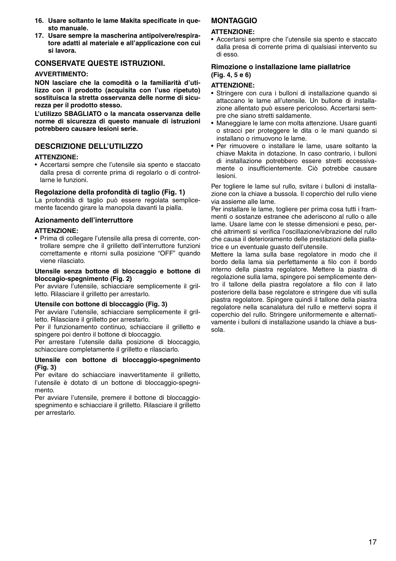- **16. Usare soltanto le lame Makita specificate in questo manuale.**
- **17. Usare sempre la mascherina antipolvere/respiratore adatti al materiale e all'applicazione con cui si lavora.**

## **CONSERVATE QUESTE ISTRUZIONI.**

## **AVVERTIMENTO:**

**NON lasciare che la comodità o la familiarità d'utilizzo con il prodotto (acquisita con l'uso ripetuto) sostituisca la stretta osservanza delle norme di sicurezza per il prodotto stesso.** 

**L'utilizzo SBAGLIATO o la mancata osservanza delle norme di sicurezza di questo manuale di istruzioni potrebbero causare lesioni serie.** 

## **DESCRIZIONE DELL'UTILIZZO**

#### **ATTENZIONE:**

• Accertarsi sempre che l'utensile sia spento e staccato dalla presa di corrente prima di regolarlo o di controllarne le funzioni.

#### **Regolazione della profondità di taglio (Fig. 1)**

La profondità di taglio può essere regolata semplicemente facendo girare la manopola davanti la pialla.

## **Azionamento dell'interruttore**

#### **ATTENZIONE:**

• Prima di collegare l'utensile alla presa di corrente, controllare sempre che il grilletto dell'interruttore funzioni correttamente e ritorni sulla posizione "OFF" quando viene rilasciato.

#### **Utensile senza bottone di bloccaggio e bottone di bloccagio-spegnimento (Fig. 2)**

Per avviare l'utensile, schiacciare semplicemente il grilletto. Rilasciare il grilletto per arrestarlo.

#### **Utensile con bottone di bloccaggio (Fig. 3)**

Per avviare l'utensile, schiacciare semplicemente il grilletto. Rilasciare il grilletto per arrestarlo.

Per il funzionamento continuo, schiacciare il grilletto e spingere poi dentro il bottone di bloccaggio.

Per arrestare l'utensile dalla posizione di bloccaggio, schiacciare completamente il grilletto e rilasciarlo.

#### **Utensile con bottone di bloccaggio-spegnimento (Fig. 3)**

Per evitare do schiacciare inavvertitamente il grilletto, l'utensile è dotato di un bottone di bloccaggio-spegnimento.

Per avviare l'utensile, premere il bottone di bloccaggiospegnimento e schiacciare il grilletto. Rilasciare il grilletto per arrestarlo.

## **MONTAGGIO**

#### **ATTENZIONE:**

• Accertarsi sempre che l'utensile sia spento e staccato dalla presa di corrente prima di qualsiasi intervento su di esso.

### **Rimozione o installazione lame piallatrice (Fig. 4, 5 e 6)**

#### **ATTENZIONE:**

- Stringere con cura i bulloni di installazione quando si attaccano le lame all'utensile. Un bullone di installazione allentato può essere pericoloso. Accertarsi sempre che siano stretti saldamente.
- Maneggiare le lame con molta attenzione. Usare guanti o stracci per proteggere le dita o le mani quando si installano o rimuovono le lame.
- Per rimuovere o installare le lame, usare soltanto la chiave Makita in dotazione. In caso contrario, i bulloni di installazione potrebbero essere stretti eccessivamente o insufficientemente. Ciò potrebbe causare lesioni.

Per togliere le lame sul rullo, svitare i bulloni di installazione con la chiave a bussola. Il coperchio del rullo viene via assieme alle lame.

Per installare le lame, togliere per prima cosa tutti i frammenti o sostanze estranee che aderiscono al rullo o alle lame. Usare lame con le stesse dimensioni e peso, perché altrimenti si verifica l'oscillazione/vibrazione del rullo che causa il deterioramento delle prestazioni della piallatrice e un eventuale guasto dell'utensile.

Mettere la lama sulla base regolatore in modo che il bordo della lama sia perfettamente a filo con il bordo interno della piastra regolatore. Mettere la piastra di regolazione sulla lama, spingere poi semplicemente dentro il tallone della piastra regolatore a filo con il lato posteriore della base regolatore e stringere due viti sulla piastra regolatore. Spingere quindi il tallone della piastra regolatore nella scanalatura del rullo e mettervi sopra il coperchio del rullo. Stringere uniformemente e alternativamente i bulloni di installazione usando la chiave a bussola.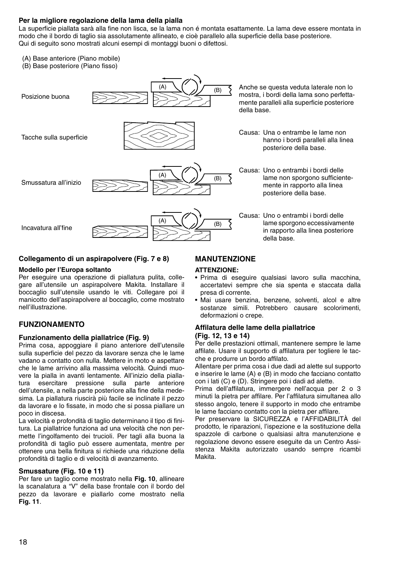## **Per la migliore regolazione della lama della pialla**

La superficie piallata sarà alla fine non lisca, se la lama non é montata esattamente. La lama deve essere montata in modo che il bordo di taglio sia assolutamente allineato, e cioè parallelo alla superficie della base posteriore. Qui di seguito sono mostrati alcuni esempi di montaggi buoni o difettosi.

- (A) Base anteriore (Piano mobile)
- (B) Base posteriore (Piano fisso)



#### **Collegamento di un aspirapolvere (Fig. 7 e 8)**

#### **Modello per l'Europa soltanto**

Per eseguire una operazione di piallatura pulita, collegare all'utensile un aspirapolvere Makita. Installare il boccaglio sull'utensile usando le viti. Collegare poi il manicotto dell'aspirapolvere al boccaglio, come mostrato nell'illustrazione.

## **FUNZIONAMENTO**

#### **Funzionamento della piallatrice (Fig. 9)**

Prima cosa, appoggiare il piano anteriore dell'utensile sulla superficie del pezzo da lavorare senza che le lame vadano a contatto con nulla. Mettere in moto e aspettare che le lame arrivino alla massima velocità. Quindi muovere la pialla in avanti lentamente. All'inizio della piallatura esercitare pressione sulla parte anteriore dell'utensile, a nella parte posteriore alla fine della medesima. La piallatura riuscirà più facile se inclinate il pezzo da lavorare e lo fissate, in modo che si possa piallare un poco in discesa.

La velocità e profondità di taglio determinano il tipo di finitura. La piallatrice funziona ad una velocità che non permette l'ingolfamento dei trucioli. Per tagli alla buona la profondità di taglio può essere aumentata, mentre per ottenere una bella finitura si richiede una riduzione della profondità di taglio e di velocità di avanzamento.

#### **Smussature (Fig. 10 e 11)**

Per fare un taglio come mostrato nella **Fig. 10**, allineare la scanalatura a "V" della base frontale con il bordo del pezzo da lavorare e piallarlo come mostrato nella **Fig. 11**.

## **MANUTENZIONE**

#### **ATTENZIONE:**

- Prima di eseguire qualsiasi lavoro sulla macchina, accertatevi sempre che sia spenta e staccata dalla presa di corrente.
- Mai usare benzina, benzene, solventi, alcol e altre sostanze simili. Potrebbero causare scolorimenti, deformazioni o crepe.

#### **Affilatura delle lame della piallatrice (Fig. 12, 13 e 14)**

Per delle prestazioni ottimali, mantenere sempre le lame affilate. Usare il supporto di affilatura per togliere le tacche e produrre un bordo affilato.

Allentare per prima cosa i due dadi ad alette sul supporto e inserire le lame (A) e (B) in modo che facciano contatto con i lati (C) e (D). Stringere poi i dadi ad alette.

Prima dell'affilatura, immergere nell'acqua per 2 o 3 minuti la pietra per affilare. Per l'affilatura simultanea allo stesso angolo, tenere il supporto in modo che entrambe le lame facciano contatto con la pietra per affilare.

Per preservare la SICUREZZA e l'AFFIDABILITÀ del prodotto, le riparazioni, l'ispezione e la sostituzione della spazzole di carbone o qualsiasi altra manutenzione e regolazione devono essere eseguite da un Centro Assistenza Makita autorizzato usando sempre ricambi Makita.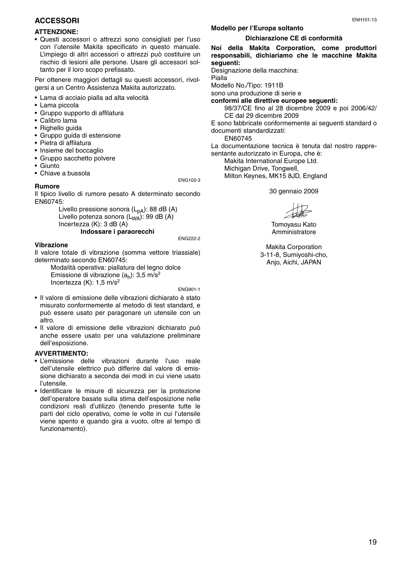## **ACCESSORI**

#### **ATTENZIONE:**

• Questi accessori o attrezzi sono consigliati per l'uso con l'utensile Makita specificato in questo manuale. L'impiego di altri accessori o attrezzi può costituire un rischio di lesioni alle persone. Usare gli accessori soltanto per il loro scopo prefissato.

Per ottenere maggiori dettagli su questi accessori, rivolgersi a un Centro Assistenza Makita autorizzato.

- Lama di acciaio pialla ad alta velocità
- Lama piccola
- Gruppo supporto di affilatura
- Calibro lama
- Righello guida
- Gruppo guida di estensione
- Pietra di affilatura
- Insieme del boccaglio
- Gruppo sacchetto polvere
- Giunto
- Chiave a bussola

#### **Rumore**

ENG102-3

Il tipico livello di rumore pesato A determinato secondo EN60745:

> Livello pressione sonora  $(L_{DA})$ : 88 dB (A) Livello potenza sonora  $(L_{WA})$ : 99 dB (A) Incertezza (K): 3 dB (A)

**Indossare i paraorecchi**

ENG222-2

#### **Vibrazione**

Il valore totale di vibrazione (somma vettore triassiale) determinato secondo EN60745:

Modalità operativa: piallatura del legno dolce Emissione di vibrazione  $(a_h)$ : 3,5 m/s<sup>2</sup> Incertezza (K):  $1.5 \text{ m/s}^2$ 

ENG901-1

- Il valore di emissione delle vibrazioni dichiarato è stato misurato conformemente al metodo di test standard, e può essere usato per paragonare un utensile con un altro.
- Il valore di emissione delle vibrazioni dichiarato può anche essere usato per una valutazione preliminare dell'esposizione.

#### **AVVERTIMENTO:**

- L'emissione delle vibrazioni durante l'uso reale dell'utensile elettrico può differire dal valore di emissione dichiarato a seconda dei modi in cui viene usato l'utensile.
- Identificare le misure di sicurezza per la protezione dell'operatore basate sulla stima dell'esposizione nelle condizioni reali d'utilizzo (tenendo presente tutte le parti del ciclo operativo, come le volte in cui l'utensile viene spento e quando gira a vuoto, oltre al tempo di funzionamento).

## **Modello per l'Europa soltanto**

#### **Dichiarazione CE di conformità**

**Noi della Makita Corporation, come produttori responsabili, dichiariamo che le macchine Makita seguenti:**

Designazione della macchina:

Pialla

Modello No./Tipo: 1911B

sono una produzione di serie e

**conformi alle direttive europee seguenti:** 98/37/CE fino al 28 dicembre 2009 e poi 2006/42/ CE dal 29 dicembre 2009

E sono fabbricate conformemente ai seguenti standard o documenti standardizzati:

EN60745

La documentazione tecnica è tenuta dal nostro rappresentante autorizzato in Europa, che è:

Makita International Europe Ltd. Michigan Drive, Tongwell, Milton Keynes, MK15 8JD, England

30 gennaio 2009

Tomoyasu Kato Amministratore

Makita Corporation 3-11-8, Sumiyoshi-cho, Anjo, Aichi, JAPAN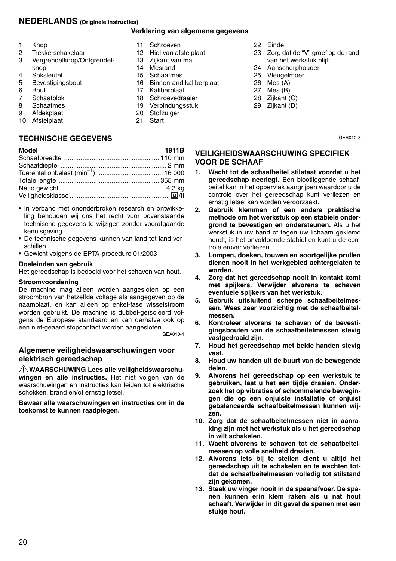## **NEDERLANDS (Originele instructies)**

#### **Verklaring van algemene gegevens**

|    | Knop                       |    | Schroeven                      |    | 22 Einde                            |
|----|----------------------------|----|--------------------------------|----|-------------------------------------|
| 2  | Trekkerschakelaar          | 12 | Hiel van afstelplaat           |    | 23 Zorg dat de "V" groef op de rand |
| 3  | Vergrendelknop/Ontgrendel- | 13 | Zijkant van mal                |    | van het werkstuk blijft.            |
|    | knop                       | 14 | Mesrand                        |    | 24 Aanscherphouder                  |
| 4  | Soksleutel                 | 15 | Schaafmes                      |    | 25 Vleugelmoer                      |
| 5  | Bevestigingsbout           | 16 | <b>Binnenrand kaliberplaat</b> | 26 | Mes (A)                             |
| 6  | Bout                       | 17 | Kaliberplaat                   | 27 | Mes(B)                              |
|    | Schaafblok                 | 18 | Schroevedraaier                |    | 28 Zijkant (C)                      |
| 8  | Schaafmes                  | 19 | Verbindungsstuk                |    | 29 Zijkant (D)                      |
| 9  | Afdekplaat                 | 20 | Stofzuiger                     |    |                                     |
| 10 | Afstelplaat                | 21 | Start                          |    |                                     |

## **TECHNISCHE GEGEVENS**

| Model | 1911B |
|-------|-------|
|       |       |
|       |       |
|       |       |
|       |       |
|       |       |
|       |       |
|       |       |

- In verband met ononderbroken research en ontwikkeling behouden wij ons het recht voor bovenstaande technische gegevens te wijzigen zonder voorafgaande kennisgeving.
- De technische gegevens kunnen van land tot land verschillen.
- Gewicht volgens de EPTA-procedure 01/2003

#### **Doeleinden van gebruik**

Het gereedschap is bedoeld voor het schaven van hout.

#### **Stroomvoorziening**

De machine mag alleen worden aangesloten op een stroombron van hetzelfde voltage als aangegeven op de naamplaat, en kan alleen op enkel-fase wisselstroom worden gebruikt. De machine is dubbel-geïsoleerd volgens de Europese standaard en kan derhalve ook op een niet-geaard stopcontact worden aangesloten. GEA010-1

## **Algemene veiligheidswaarschuwingen voor elektrisch gereedschap**

**WAARSCHUWING Lees alle veiligheidswaarschuwingen en alle instructies.** Het niet volgen van de waarschuwingen en instructies kan leiden tot elektrische schokken, brand en/of ernstig letsel.

**Bewaar alle waarschuwingen en instructies om in de toekomst te kunnen raadplegen.**

#### **VEILIGHEIDSWAARSCHUWING SPECIFIEK VOOR DE SCHAAF**

**1. Wacht tot de schaafbeitel stilstaat voordat u het gereedschap neerlegt.** Een blootliggende schaafbeitel kan in het oppervlak aangrijpen waardoor u de controle over het gereedschap kunt verliezen en ernstig letsel kan worden veroorzaakt.

GEB010-3

- **2. Gebruik klemmen of een andere praktische methode om het werkstuk op een stabiele ondergrond te bevestigen en ondersteunen.** Als u het werkstuk in uw hand of tegen uw lichaam geklemd houdt, is het onvoldoende stabiel en kunt u de controle erover verliezen.
- **3. Lompen, doeken, touwen en soortgelijke prullen dienen nooit in het werkgebied achtergelaten te worden.**
- **4. Zorg dat het gereedschap nooit in kontakt komt met spijkers. Verwijder alvorens te schaven eventuele spijkers van het werkstuk.**
- **5. Gebruik uitsluitend scherpe schaafbeitelmessen. Wees zeer voorzichtig met de schaafbeitelmessen.**
- **6. Kontroleer alvorens te schaven of de bevestigingsbouten van de schaafbeitelmessen stevig vastgedraaid zijn.**
- **7. Houd het gereedschap met beide handen stevig vast.**
- **8. Houd uw handen uit de buurt van de bewegende delen.**
- **9. Alvorens het gereedschap op een werkstuk te gebruiken, laat u het een tijdje draaien. Onderzoek het op vibraties of schommelende bewegingen die op een onjuiste installatie of onjuist gebalanceerde schaafbeitelmessen kunnen wijzen.**
- **10. Zorg dat de schaafbeitelmessen niet in aanraking zijn met het werkstuk als u het gereedschap in wilt schakelen.**
- **11. Wacht alvorens te schaven tot de schaafbeitelmessen op volle snelheid draaien.**
- **12. Alvorens iets bij te stellen dient u altijd het gereedschap uit te schakelen en te wachten totdat de schaafbeitelmessen volledig tot stilstand zijn gekomen.**
- **13. Steek uw vinger nooit in de spaanafvoer. De spanen kunnen erin klem raken als u nat hout schaaft. Verwijder in dit geval de spanen met een stukje hout.**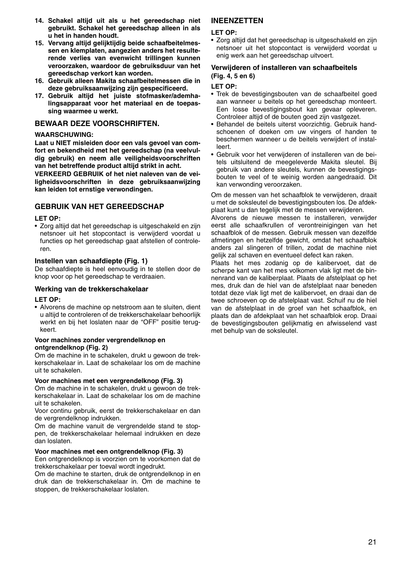- **14. Schakel altijd uit als u het gereedschap niet gebruikt. Schakel het gereedschap alleen in als u het in handen houdt.**
- **15. Vervang altijd gelijktijdig beide schaafbeitelmessen en klemplaten, aangezien anders het resulterende verlies van evenwicht trillingen kunnen veroorzaken, waardoor de gebruiksduur van het gereedschap verkort kan worden.**
- **16. Gebruik alleen Makita schaafbeitelmessen die in deze gebruiksaanwijzing zijn gespecificeerd.**
- **17. Gebruik altijd het juiste stofmasker/ademhalingsapparaat voor het materiaal en de toepassing waarmee u werkt.**

### **BEWAAR DEZE VOORSCHRIFTEN.**

## **WAARSCHUWING:**

**Laat u NIET misleiden door een vals gevoel van comfort en bekendheid met het gereedschap (na veelvuldig gebruik) en neem alle veiligheidsvoorschriften van het betreffende product altijd strikt in acht.** 

**VERKEERD GEBRUIK of het niet naleven van de veiligheidsvoorschriften in deze gebruiksaanwijzing kan leiden tot ernstige verwondingen.** 

## **GEBRUIK VAN HET GEREEDSCHAP**

#### **LET OP:**

• Zorg altijd dat het gereedschap is uitgeschakeld en zijn netsnoer uit het stopcontact is verwijderd voordat u functies op het gereedschap gaat afstellen of controleren.

#### **Instellen van schaafdiepte (Fig. 1)**

De schaafdiepte is heel eenvoudig in te stellen door de knop voor op het gereedschap te verdraaien.

#### **Werking van de trekkerschakelaar**

#### **LET OP:**

• Alvorens de machine op netstroom aan te sluiten, dient u altijd te controleren of de trekkerschakelaar behoorlijk werkt en bij het loslaten naar de "OFF" positie terugkeert.

#### **Voor machines zonder vergrendelknop en ontgrendelknop (Fig. 2)**

Om de machine in te schakelen, drukt u gewoon de trekkerschakelaar in. Laat de schakelaar los om de machine uit te schakelen.

#### **Voor machines met een vergrendelknop (Fig. 3)**

Om de machine in te schakelen, drukt u gewoon de trekkerschakelaar in. Laat de schakelaar los om de machine uit te schakelen.

Voor continu gebruik, eerst de trekkerschakelaar en dan de vergrendelknop indrukken.

Om de machine vanuit de vergrendelde stand te stoppen, de trekkerschakelaar helemaal indrukken en deze dan loslaten.

#### **Voor machines met een ontgrendelknop (Fig. 3)**

Een ontgrendelknop is voorzien om te voorkomen dat de trekkerschakelaar per toeval wordt ingedrukt.

Om de machine te starten, druk de ontgrendelknop in en druk dan de trekkerschakelaar in. Om de machine te stoppen, de trekkerschakelaar loslaten.

## **INEENZETTEN**

#### **LET OP:**

• Zorg altijd dat het gereedschap is uitgeschakeld en zijn netsnoer uit het stopcontact is verwijderd voordat u enig werk aan het gereedschap uitvoert.

#### **Verwijderen of installeren van schaafbeitels (Fig. 4, 5 en 6)**

#### **LET OP:**

- Trek de bevestigingsbouten van de schaafbeitel goed aan wanneer u beitels op het gereedschap monteert. Een losse bevestigingsbout kan gevaar opleveren. Controleer altijd of de bouten goed zijn vastgezet.
- Behandel de beitels uiterst voorzichtig. Gebruik handschoenen of doeken om uw vingers of handen te beschermen wanneer u de beitels verwijdert of installeert.
- Gebruik voor het verwijderen of installeren van de beitels uitsluitend de meegeleverde Makita sleutel. Bij gebruik van andere sleutels, kunnen de bevestigingsbouten te veel of te weinig worden aangedraaid. Dit kan verwonding veroorzaken.

Om de messen van het schaafblok te verwijderen, draait u met de soksleutel de bevestigingsbouten los. De afdekplaat kunt u dan tegelijk met de messen verwijderen.

Alvorens de nieuwe messen te installeren, verwijder eerst alle schaafkrullen of verontreinigingen van het schaafblok of de messen. Gebruik messen van dezelfde afmetingen en hetzelfde gewicht, omdat het schaafblok anders zal slingeren of trillen, zodat de machine niet gelijk zal schaven en eventueel defect kan raken.

Plaats het mes zodanig op de kalibervoet, dat de scherpe kant van het mes volkomen vlak ligt met de binnenrand van de kaliberplaat. Plaats de afstelplaat op het mes, druk dan de hiel van de afstelplaat naar beneden totdat deze vlak ligt met de kalibervoet, en draai dan de twee schroeven op de afstelplaat vast. Schuif nu de hiel van de afstelplaat in de groef van het schaafblok, en plaats dan de afdekplaat van het schaafblok erop. Draai de bevestigingsbouten gelijkmatig en afwisselend vast met behulp van de soksleutel.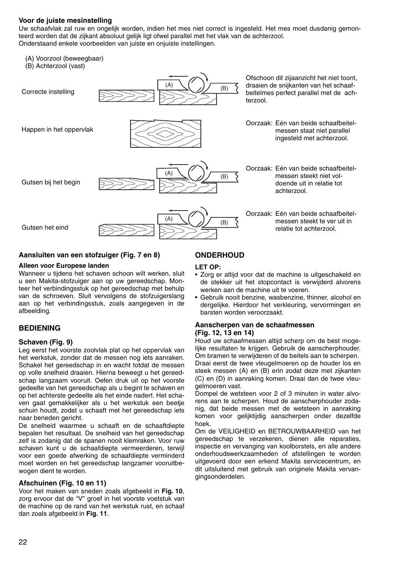#### **Voor de juiste mesinstelling**

Uw schaafvlak zal ruw en ongelijk worden, indien het mes niet correct is ingesteld. Het mes moet dusdanig gemonteerd worden dat de zijkant absoluut gelijk ligt ofwel parallel met het vlak van de achterzool. Onderstaand enkele voorbeelden van juiste en onjuiste instellingen.

- (A) Voorzool (beweegbaar)
- (B) Achterzool (vast)



#### **Aansluiten van een stofzuiger (Fig. 7 en 8)**

#### **Alleen voor Europese landen**

Wanneer u tijdens het schaven schoon wilt werken, sluit u een Makita-stofzuiger aan op uw gereedschap. Monteer het verbindingsstuk op het gereedschap met behulp van de schroeven. Sluit vervolgens de stofzuigerslang aan op het verbindingsstuk, zoals aangegeven in de afbeelding.

## **BEDIENING**

#### **Schaven (Fig. 9)**

Leg eerst het voorste zoolvlak plat op het oppervlak van het werkstuk, zonder dat de messen nog iets aanraken. Schakel het gereedschap in en wacht totdat de messen op volle snelheid draaien. Hierna beweegt u het gereedschap langzaam vooruit. Oefen druk uit op het voorste gedeelte van het gereedschap als u begint te schaven en op het achterste gedeelte als het einde nadert. Het schaven gaat gemakkelijker als u het werkstuk een beetje schuin houdt, zodat u schaaft met het gereedschap iets naar beneden gericht.

De snelheid waarmee u schaaft en de schaaftdiepte bepalen het resultaat. De snelheid van het gereedschap zelf is zodanig dat de spanen nooit klemraken. Voor ruw schaven kunt u de schaafdiepte vermeerderen, terwijl voor een goede afwerking de schaafdiepte verminderd moet worden en het gereedschap langzamer vooruitbewogen dient te worden.

#### **Afschuinen (Fig. 10 en 11)**

Voor het maken van sneden zoals afgebeeld in **Fig. 10**, zorg ervoor dat de "V" groef in het voorste voetstuk van de machine op de rand van het werkstuk rust, en schaaf dan zoals afgebeeld in **Fig. 11**.

## **ONDERHOUD**

#### **LET OP:**

- Zorg er altijd voor dat de machine is uitgeschakeld en de stekker uit het stopcontact is verwijderd alvorens werken aan de machine uit te voeren.
- Gebruik nooit benzine, wasbenzine, thinner, alcohol en dergelijke. Hierdoor het verkleuring, vervormingen en barsten worden veroorzaakt.

## **Aanscherpen van de schaafmessen**

#### **(Fig. 12, 13 en 14)**

Houd uw schaafmessen altijd scherp om de best mogelijke resultaten te krijgen. Gebruik de aanscherphouder. Om bramen te verwijderen of de beitels aan te scherpen.

Draai eerst de twee vleugelmoeren op de houder los en steek messen (A) en (B) erin zodat deze met zijkanten (C) en (D) in aanraking komen. Draai dan de twee vleugelmoeren vast.

Dompel de wetsteen voor 2 of 3 minuten in water alvorens aan te scherpen. Houd de aanscherphouder zodanig, dat beide messen met de wetsteen in aanraking komen voor gelijktijdig aanscherpen onder dezelfde hoek.

Om de VEILIGHEID en BETROUWBAARHEID van het gereedschap te verzekeren, dienen alle reparaties, inspectie en vervanging van koolborstels, en alle andere onderhoudswerkzaamheden of afstellingen te worden uitgevoerd door een erkend Makita servicecentrum, en dit uitsluitend met gebruik van originele Makita vervangingsonderdelen.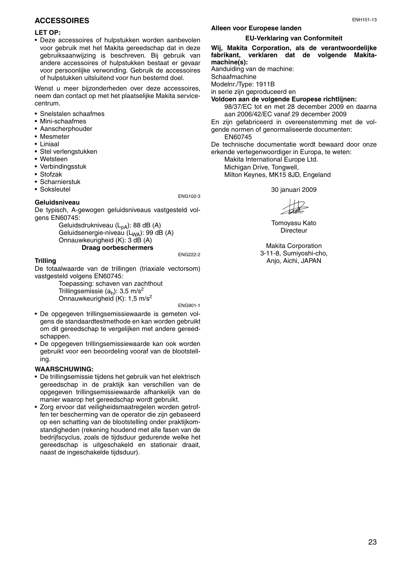## **ACCESSOIRES**

#### **LET OP:**

• Deze accessoires of hulpstukken worden aanbevolen voor gebruik met het Makita gereedschap dat in deze gebruiksaanwijzing is beschreven. Bij gebruik van andere accessoires of hulpstukken bestaat er gevaar voor persoonlijke verwonding. Gebruik de accessoires of hulpstukken uitsluitend voor hun bestemd doel.

Wenst u meer bijzonderheden over deze accessoires, neem dan contact op met het plaatselijke Makita servicecentrum.

- Snelstalen schaafmes
- Mini-schaafmes
- Aanscherphouder
- Mesmeter
- Liniaal
- Stel verlengstukken
- Wetsteen
- Verbindingsstuk
- Stofzak
- Scharnierstuk
- Soksleutel

### **Geluidsniveau**

De typisch, A-gewogen geluidsniveaus vastgesteld volgens EN60745:

Geluidsdrukniveau (L<sub>pA</sub>): 88 dB (A) Geluidsenergie-niveau (L<sub>WA</sub>): 99 dB (A) Onnauwkeurigheid (K): 3 dB (A) **Draag oorbeschermers**

ENG222-2

ENG102-3

#### **Trilling**

De totaalwaarde van de trillingen (triaxiale vectorsom) vastgesteld volgens EN60745:

Toepassing: schaven van zachthout Trillingsemissie  $(a<sub>b</sub>)$ : 3,5 m/s<sup>2</sup> Onnauwkeurigheid (K): 1,5 m/s2

ENG901-1

- De opgegeven trillingsemissiewaarde is gemeten volgens de standaardtestmethode en kan worden gebruikt om dit gereedschap te vergelijken met andere gereedschappen.
- De opgegeven trillingsemissiewaarde kan ook worden gebruikt voor een beoordeling vooraf van de blootstelling.

#### **WAARSCHUWING:**

- De trillingsemissie tijdens het gebruik van het elektrisch gereedschap in de praktijk kan verschillen van de opgegeven trillingsemissiewaarde afhankelijk van de manier waarop het gereedschap wordt gebruikt.
- Zorg ervoor dat veiligheidsmaatregelen worden getroffen ter bescherming van de operator die zijn gebaseerd op een schatting van de blootstelling onder praktijkomstandigheden (rekening houdend met alle fasen van de bedrijfscyclus, zoals de tijdsduur gedurende welke het gereedschap is uitgeschakeld en stationair draait, naast de ingeschakelde tijdsduur).

## **Alleen voor Europese landen**

#### **EU-Verklaring van Conformiteit**

**Wij, Makita Corporation, als de verantwoordelijke fabrikant, verklaren dat de volgende Makitamachine(s):**

Aanduiding van de machine:

**Schaafmachine** 

Modelnr./Type: 1911B

in serie zijn geproduceerd en

**Voldoen aan de volgende Europese richtlijnen:**  98/37/EC tot en met 28 december 2009 en daarna

aan 2006/42/EC vanaf 29 december 2009 En zijn gefabriceerd in overeenstemming met de volgende normen of genormaliseerde documenten:

EN60745

De technische documentatie wordt bewaard door onze erkende vertegenwoordiger in Europa, te weten:

Makita International Europe Ltd. Michigan Drive, Tongwell, Milton Keynes, MK15 8JD, Engeland

30 januari 2009

Tomoyasu Kato **Directeur** 

Makita Corporation 3-11-8, Sumiyoshi-cho, Anjo, Aichi, JAPAN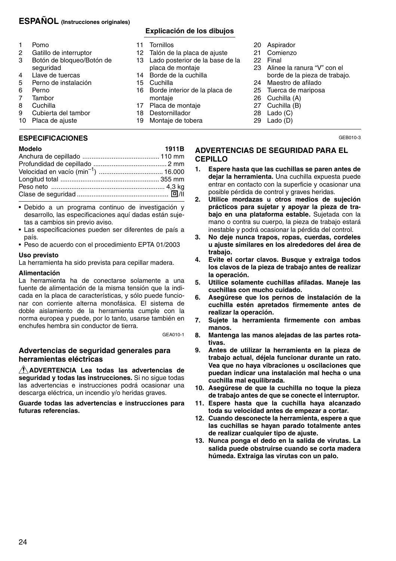## **ESPAÑOL (Instrucciones originales)**

- 
- 1 Pomo<br>2 Gatillo
- 2 Gatillo de interruptor<br>3 Botón de bloqueo/Bo 3 Botón de bloqueo/Botón de seguridad
- 
- 4 Llave de tuercas<br>5 Perno de instala 5 Perno de instalación<br>6 Perno
- 
- 6 Perno<br>7 Tambo
- 7 Tambor<br>8 Cuchilla
- 8 Cuchilla<br>9 Cubierta 9 Cubierta del tambor
- 10 Placa de ajuste

## **ESPECIFICACIONES**

| Modelo | 1911B |
|--------|-------|
|        |       |
|        |       |
|        |       |
|        |       |
|        |       |
|        |       |
|        |       |

- Debido a un programa continuo de investigación y desarrollo, las especificaciones aquí dadas están sujetas a cambios sin previo aviso.
- Las especificaciones pueden ser diferentes de país a país.
- Peso de acuerdo con el procedimiento EPTA 01/2003

#### **Uso previsto**

La herramienta ha sido prevista para cepillar madera.

#### **Alimentación**

La herramienta ha de conectarse solamente a una fuente de alimentación de la misma tensión que la indicada en la placa de características, y sólo puede funcionar con corriente alterna monofásica. El sistema de doble aislamiento de la herramienta cumple con la norma europea y puede, por lo tanto, usarse también en enchufes hembra sin conductor de tierra.

GEA010-1

## **Advertencias de seguridad generales para herramientas eléctricas**

**ADVERTENCIA Lea todas las advertencias de seguridad y todas las instrucciones.** Si no sigue todas las advertencias e instrucciones podrá ocasionar una descarga eléctrica, un incendio y/o heridas graves.

**Guarde todas las advertencias e instrucciones para futuras referencias.**

## **Explicación de los dibujos**

- 11 Tornillos
- 
- 12 Talón de la placa de ajuste<br>13 Lado posterior de la base d Lado posterior de la base de la placa de montaje
- 14 Borde de la cuchilla
- 
- 15 Cuchilla<br>16 Borde in Borde interior de la placa de montaje
- 17 Placa de montaje
- 18 Destornillador
- 19 Montaje de tobera
- 20 Aspirador
- 21 Comienzo
- 22 Final
- 23 Alinee la ranura "V" con el borde de la pieza de trabajo.
- 24 Maestro de afilado
- 25 Tuerca de mariposa
- 26 Cuchilla (A)
- 27 Cuchilla (B)
- 28 Lado (C)
- 29 Lado (D)

GEB010-3

## **ADVERTENCIAS DE SEGURIDAD PARA EL CEPILLO**

- **1. Espere hasta que las cuchillas se paren antes de dejar la herramienta.** Una cuchilla expuesta puede entrar en contacto con la superficie y ocasionar una posible pérdida de control y graves heridas.
- **2. Utilice mordazas u otros medios de sujeción prácticos para sujetar y apoyar la pieza de trabajo en una plataforma estable.** Sujetada con la mano o contra su cuerpo, la pieza de trabajo estará inestable y podrá ocasionar la pérdida del control.
- **3. No deje nunca trapos, ropas, cuerdas, cordeles u ajuste similares en los alrededores del área de trabajo.**
- **4. Evite el cortar clavos. Busque y extraiga todos los clavos de la pieza de trabajo antes de realizar la operación.**
- **5. Utilice solamente cuchillas afiladas. Maneje las cuchillas con mucho cuidado.**
- **6. Asegúrese que los pernos de instalación de la cuchilla estén apretados firmemente antes de realizar la operación.**
- **7. Sujete la herramienta firmemente con ambas manos.**
- **8. Mantenga las manos alejadas de las partes rotativas.**
- **9. Antes de utilizar la herramienta en la pieza de trabajo actual, déjela funcionar durante un rato. Vea que no haya vibraciones u oscilaciones que puedan indicar una instalación mal hecha o una cuchilla mal equilibrada.**
- **10. Asegúrese de que la cuchilla no toque la pieza de trabajo antes de que se conecte el interruptor.**
- **11. Espere hasta que la cuchilla haya alcanzado toda su velocidad antes de empezar a cortar.**
- **12. Cuando desconecte la herramienta, espere a que las cuchillas se hayan parado totalmente antes de realizar cualquier tipo de ajuste.**
- **13. Nunca ponga el dedo en la salida de virutas. La salida puede obstruirse cuando se corta madera húmeda. Extraiga las virutas con un palo.**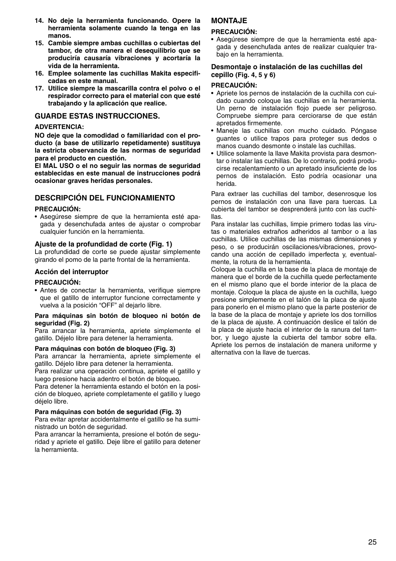- **14. No deje la herramienta funcionando. Opere la herramienta solamente cuando la tenga en las manos.**
- **15. Cambie siempre ambas cuchillas o cubiertas del tambor, de otra manera el desequilibrio que se produciría causaría vibraciones y acortaría la vida de la herramienta.**
- **16. Emplee solamente las cuchillas Makita especificadas en este manual.**
- **17. Utilice siempre la mascarilla contra el polvo o el respirador correcto para el material con que esté trabajando y la aplicación que realice.**

## **GUARDE ESTAS INSTRUCCIONES.**

#### **ADVERTENCIA:**

**NO deje que la comodidad o familiaridad con el producto (a base de utilizarlo repetidamente) sustituya la estricta observancia de las normas de seguridad para el producto en cuestión.** 

**El MAL USO o el no seguir las normas de seguridad establecidas en este manual de instrucciones podrá ocasionar graves heridas personales.** 

## **DESCRIPCIÓN DEL FUNCIONAMIENTO**

#### **PRECAUCIÓN:**

• Asegúrese siempre de que la herramienta esté apagada y desenchufada antes de ajustar o comprobar cualquier función en la herramienta.

#### **Ajuste de la profundidad de corte (Fig. 1)**

La profundidad de corte se puede ajustar simplemente girando el pomo de la parte frontal de la herramienta.

#### **Acción del interruptor**

#### **PRECAUCIÓN:**

• Antes de conectar la herramienta, verifique siempre que el gatillo de interruptor funcione correctamente y vuelva a la posición "OFF" al dejarlo libre.

#### **Para máquinas sin botón de bloqueo ni botón de seguridad (Fig. 2)**

Para arrancar la herramienta, apriete simplemente el gatillo. Déjelo libre para detener la herramienta.

#### **Para máquinas con botón de bloqueo (Fig. 3)**

Para arrancar la herramienta, apriete simplemente el gatillo. Déjelo libre para detener la herramienta.

Para realizar una operación continua, apriete el gatillo y luego presione hacia adentro el botón de bloqueo.

Para detener la herramienta estando el botón en la posición de bloqueo, apriete completamente el gatillo y luego déjelo libre.

#### **Para máquinas con botón de seguridad (Fig. 3)**

Para evitar apretar accidentalmente el gatillo se ha suministrado un botón de seguridad.

Para arrancar la herramienta, presione el botón de seguridad y apriete el gatillo. Deje libre el gatillo para detener la herramienta.

## **MONTA.IF**

#### **PRECAUCIÓN:**

• Asegúrese siempre de que la herramienta esté apagada y desenchufada antes de realizar cualquier trabajo en la herramienta.

#### **Desmontaje o instalación de las cuchillas del cepillo (Fig. 4, 5 y 6)**

#### **PRECAUCIÓN:**

- Apriete los pernos de instalación de la cuchilla con cuidado cuando coloque las cuchillas en la herramienta. Un perno de instalación flojo puede ser peligroso. Compruebe siempre para cerciorarse de que están apretados firmemente.
- Maneje las cuchillas con mucho cuidado. Póngase guantes o utilice trapos para proteger sus dedos o manos cuando desmonte o instale las cuchillas.
- Utilice solamente la llave Makita provista para desmontar o instalar las cuchillas. De lo contrario, podrá producirse recalentamiento o un apretado insuficiente de los pernos de instalación. Esto podría ocasionar una herida.

Para extraer las cuchillas del tambor, desenrosque los pernos de instalación con una llave para tuercas. La cubierta del tambor se desprenderá junto con las cuchillas.

Para instalar las cuchillas, limpie primero todas las virutas o materiales extraños adheridos al tambor o a las cuchillas. Utilice cuchillas de las mismas dimensiones y peso, o se producirán oscilaciones/vibraciones, provocando una acción de cepillado imperfecta y, eventualmente, la rotura de la herramienta.

Coloque la cuchilla en la base de la placa de montaje de manera que el borde de la cuchilla quede perfectamente en el mismo plano que el borde interior de la placa de montaje. Coloque la placa de ajuste en la cuchilla, luego presione simplemente en el talón de la placa de ajuste para ponerlo en el mismo plano que la parte posterior de la base de la placa de montaje y apriete los dos tornillos de la placa de ajuste. A continuación deslice el talón de la placa de ajuste hacia el interior de la ranura del tambor, y luego ajuste la cubierta del tambor sobre ella. Apriete los pernos de instalación de manera uniforme y alternativa con la llave de tuercas.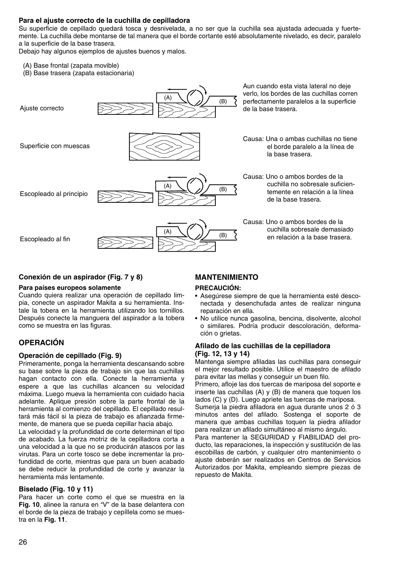#### **Para el ajuste correcto de la cuchilla de cepilladora**

Su superficie de cepillado quedará tosca y desnivelada, a no ser que la cuchilla sea ajustada adecuada y fuertemente. La cuchilla debe montarse de tal manera que el borde cortante esté absolutamente nivelado, es decir, paralelo a la superficie de la base trasera.

Debajo hay algunos ejemplos de ajustes buenos y malos.

- (A) Base frontal (zapata movible)
- (B) Base trasera (zapata estacionaria)



#### **Conexión de un aspirador (Fig. 7 y 8)**

#### **Para países europeos solamente**

Cuando quiera realizar una operación de cepillado limpia, conecte un aspirador Makita a su herramienta. Instale la tobera en la herramienta utilizando los tornillos. Después conecte la manguera del aspirador a la tobera como se muestra en las figuras.

## **OPERACIÓN**

#### **Operación de cepillado (Fig. 9)**

Primeramente, ponga la herramienta descansando sobre su base sobre la pieza de trabajo sin que las cuchillas hagan contacto con ella. Conecte la herramienta y espere a que las cuchillas alcancen su velocidad máxima. Luego mueva la herramienta con cuidado hacia adelante. Aplique presión sobre la parte frontal de la herramienta al comienzo del cepillado. El cepillado resultará más fácil si la pieza de trabajo es afianzada firmemente, de manera que se pueda cepillar hacia abajo.

La velocidad y la profundidad de corte determinan el tipo de acabado. La fuerza motriz de la cepilladora corta a una velocidad a la que no se producirán atascos por las virutas. Para un corte tosco se debe incrementar la profundidad de corte, mientras que para un buen acabado se debe reducir la profundidad de corte y avanzar la herramienta más lentamente.

#### **Biselado (Fig. 10 y 11)**

Para hacer un corte como el que se muestra en la **Fig. 10**, alinee la ranura en "V" de la base delantera con el borde de la pieza de trabajo y cepíllela como se muestra en la **Fig. 11**.

## **MANTENIMIENTO**

#### **PRECAUCIÓN:**

- Asegúrese siempre de que la herramienta esté desconectada y desenchufada antes de realizar ninguna reparación en ella.
- No utilice nunca gasolina, bencina, disolvente, alcohol o similares. Podría producir descoloración, deformación o grietas.

#### **Afilado de las cuchillas de la cepilladora (Fig. 12, 13 y 14)**

Mantenga siempre afiladas las cuchillas para conseguir el mejor resultado posible. Utilice el maestro de afilado para evitar las mellas y conseguir un buen filo.

Primero, afloje las dos tuercas de mariposa del soporte e inserte las cuchillas (A) y (B) de manera que toquen los lados (C) y (D). Luego apriete las tuercas de mariposa.

Sumerja la piedra afiladora en agua durante unos 2 ó 3 minutos antes del afilado. Sostenga el soporte de manera que ambas cuchillas toquen la piedra afilador para realizar un afilado simultáneo al mismo ángulo.

Para mantener la SEGURIDAD y FIABILIDAD del producto, las reparaciones, la inspección y sustitución de las escobillas de carbón, y cualquier otro mantenimiento o ajuste deberán ser realizados en Centros de Servicios Autorizados por Makita, empleando siempre piezas de repuesto de Makita.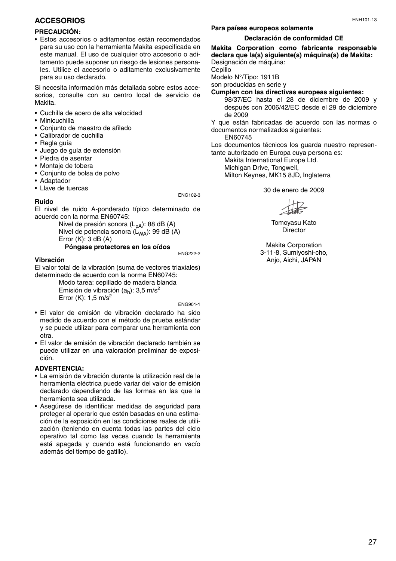## **ACCESORIOS**

#### **PRECAUCIÓN:**

• Estos accesorios o aditamentos están recomendados para su uso con la herramienta Makita especificada en este manual. El uso de cualquier otro accesorio o aditamento puede suponer un riesgo de lesiones personales. Utilice el accesorio o aditamento exclusivamente para su uso declarado.

Si necesita información más detallada sobre estos accesorios, consulte con su centro local de servicio de Makita.

- Cuchilla de acero de alta velocidad
- Minicuchilla
- Conjunto de maestro de afilado
- Calibrador de cuchilla
- Regla guía
- Juego de guía de extensión
- Piedra de asentar
- Montaje de tobera
- Conjunto de bolsa de polvo
- Adaptador

**Ruido**

• Llave de tuercas

#### ENG102-3

El nivel de ruido A-ponderado típico determinado de acuerdo con la norma EN60745:

> Nivel de presión sonora (L<sub>pA</sub>): 88 dB (A) Nivel de potencia sonora  $(L_{WA})$ : 99 dB (A) Error  $(K)$ : 3 dB  $(A)$ **Póngase protectores en los oídos**

ENG222-2

#### **Vibración**

El valor total de la vibración (suma de vectores triaxiales) determinado de acuerdo con la norma EN60745:

Modo tarea: cepillado de madera blanda Emisión de vibración  $(a_h)$ : 3,5 m/s<sup>2</sup> Error (K):  $1,5$  m/s<sup>2</sup>

ENG901-1

- El valor de emisión de vibración declarado ha sido medido de acuerdo con el método de prueba estándar y se puede utilizar para comparar una herramienta con otra.
- El valor de emisión de vibración declarado también se puede utilizar en una valoración preliminar de exposición.

#### **ADVERTENCIA:**

- La emisión de vibración durante la utilización real de la herramienta eléctrica puede variar del valor de emisión declarado dependiendo de las formas en las que la herramienta sea utilizada.
- Asegúrese de identificar medidas de seguridad para proteger al operario que estén basadas en una estimación de la exposición en las condiciones reales de utilización (teniendo en cuenta todas las partes del ciclo operativo tal como las veces cuando la herramienta está apagada y cuando está funcionando en vacío además del tiempo de gatillo).

## **Para países europeos solamente**

#### **Declaración de conformidad CE**

**Makita Corporation como fabricante responsable declara que la(s) siguiente(s) máquina(s) de Makita:** Designación de máquina:

Cepillo

Modelo N°/Tipo: 1911B

son producidas en serie y

**Cumplen con las directivas europeas siguientes:** 

98/37/EC hasta el 28 de diciembre de 2009 y después con 2006/42/EC desde el 29 de diciembre de 2009

Y que están fabricadas de acuerdo con las normas o documentos normalizados siguientes:

EN60745

Los documentos técnicos los guarda nuestro representante autorizado en Europa cuya persona es:

Makita International Europe Ltd. Michigan Drive, Tongwell. Milton Keynes, MK15 8JD, Inglaterra

30 de enero de 2009

Tomoyasu Kato **Director** 

Makita Corporation 3-11-8, Sumiyoshi-cho, Anjo, Aichi, JAPAN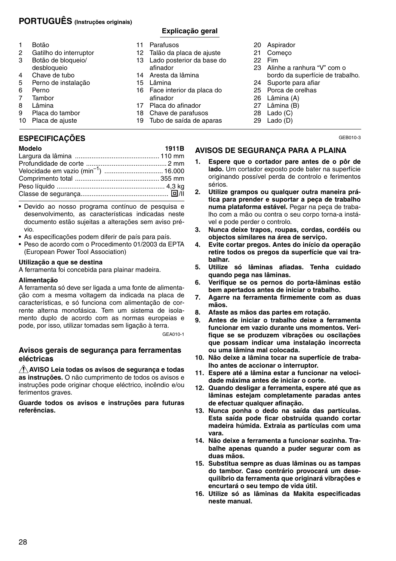## **PORTUGUÊS (Instruções originais)**

## **Explicação geral**

- 1 Botão<br>2 Gatilh
- 2 Gatilho do interruptor<br>3 Botão de bloquejo/
- Botão de bloqueio/
- desbloqueio
- 4 Chave de tubo<br>5 Perno de instal
- 5 Perno de instalação<br>6 Perno
- 6 Perno<br>7 Tambo
- 7 Tambor<br>8 Lâmina
- 8 Lâmina<br>9 Placa de Placa do tambor
- 10 Placa de ajuste
- 

## **ESPECIFICAÇÕES**

| I<br>M<br>ı<br>ır<br>œ |
|------------------------|
|------------------------|

| Modelo | 1911B |
|--------|-------|
|        |       |
|        |       |
|        |       |
|        |       |
|        |       |
|        |       |
|        |       |

- Devido ao nosso programa contínuo de pesquisa e desenvolvimento, as características indicadas neste documento estão sujeitas a alterações sem aviso prévio.
- As especificações podem diferir de país para país.
- Peso de acordo com o Procedimento 01/2003 da EPTA (European Power Tool Association)

#### **Utilização a que se destina**

A ferramenta foi concebida para plainar madeira.

#### **Alimentação**

A ferramenta só deve ser ligada a uma fonte de alimentação com a mesma voltagem da indicada na placa de características, e só funciona com alimentação de corrente alterna monofásica. Tem um sistema de isolamento duplo de acordo com as normas europeias e pode, por isso, utilizar tomadas sem ligação à terra.

GEA010-1

## **Avisos gerais de segurança para ferramentas eléctricas**

**AVISO Leia todas os avisos de segurança e todas as instruções.** O não cumprimento de todos os avisos e instruções pode originar choque eléctrico, incêndio e/ou ferimentos graves.

**Guarde todos os avisos e instruções para futuras referências.**

- 11 Parafusos
- 
- 12 Talão da placa de ajuste<br>13 Lado posterior da base o Lado posterior da base do afinador
- 14 Aresta da lâmina
- 15 Lâmina
- 16 Face interior da placa do afinador
- 17 Placa do afinador
- 18 Chave de parafusos
- 19 Tubo de saída de aparas
- 20 Aspirador
- 21 Começo
- 22 Fim
- 23 Alinhe a ranhura "V" com o bordo da superfície de trabalho.
- 24 Suporte para afiar
- 25 Porca de orelhas
- 26 Lâmina (A)
- 27 Lâmina (B)
- 28 Lado (C)
- 29 Lado (D)

GEB010-3

## **AVISOS DE SEGURANÇA PARA A PLAINA**

- **1. Espere que o cortador pare antes de o pôr de lado.** Um cortador exposto pode bater na superfície originando possível perda de controlo e ferimentos sérios.
- **2. Utilize grampos ou qualquer outra maneira prática para prender e suportar a peça de trabalho numa plataforma estável.** Pegar na peça de trabalho com a mão ou contra o seu corpo torna-a instável e pode perder o controlo.
- **3. Nunca deixe trapos, roupas, cordas, cordéis ou objectos similares na área de serviço.**
- **4. Evite cortar pregos. Antes do início da operação retire todos os pregos da superfície que vai trabalhar.**
- **5. Utilize só lâminas afiadas. Tenha cuidado quando pega nas lâminas.**
- **6. Verifique se os pernos do porta-lâminas estão bem apertados antes de iniciar o trabalho.**
- **7. Agarre na ferramenta firmemente com as duas mãos.**
- **8. Afaste as mãos das partes em rotação.**
- **9. Antes de iniciar o trabalho deixe a ferramenta funcionar em vazio durante uns momentos. Verifique se se produzem vibrações ou oscilações que possam indicar uma instalação incorrecta ou uma lâmina mal colocada.**
- **10. Não deixe a lâmina tocar na superfície de trabalho antes de accionar o interruptor.**
- **11. Espere até a lâmina estar a funcionar na velocidade máxima antes de iniciar o corte.**
- **12. Quando desligar a ferramenta, espere até que as lâminas estejam completamente paradas antes de efectuar qualquer afinação.**
- **13. Nunca ponha o dedo na saída das partículas. Esta saída pode ficar obstruída quando cortar madeira húmida. Extraia as partículas com uma vara.**
- **14. Não deixe a ferramenta a funcionar sozinha. Trabalhe apenas quando a puder segurar com as duas mãos.**
- **15. Substitua sempre as duas lâminas ou as tampas do tambor. Caso contrário provocará um desequilíbrio da ferramenta que originará vibrações e encurtará o seu tempo de vida útil.**
- **16. Utilize só as lâminas da Makita especificadas neste manual.**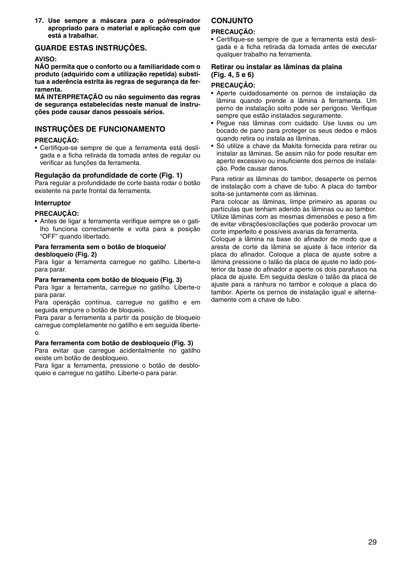**17. Use sempre a máscara para o pó/respirador apropriado para o material e aplicação com que está a trabalhar.**

## **GUARDE ESTAS INSTRUÇÕES.**

#### **AVISO:**

**NÃO permita que o conforto ou a familiaridade com o produto (adquirido com a utilização repetida) substitua a aderência estrita às regras de segurança da ferramenta.** 

**MÁ INTERPRETAÇÃO ou não seguimento das regras de segurança estabelecidas neste manual de instruções pode causar danos pessoais sérios.**

## **INSTRUÇÕES DE FUNCIONAMENTO**

#### **PRECAUÇÃO:**

• Certifique-se sempre de que a ferramenta está desligada e a ficha retirada da tomada antes de regular ou verificar as funções da ferramenta.

#### **Regulação da profundidade de corte (Fig. 1)**

Para regular a profundidade de corte basta rodar o botão existente na parte frontal da ferramenta.

#### **Interruptor**

#### **PRECAUÇÃO:**

• Antes de ligar a ferramenta verifique sempre se o gatilho funciona correctamente e volta para a posição "OFF" quando libertado.

#### **Para ferramenta sem o botão de bloqueio/ desbloqueio (Fig. 2)**

Para ligar a ferramenta carregue no gatilho. Liberte-o para parar.

#### **Para ferramenta com botão de bloqueio (Fig. 3)**

Para ligar a ferramenta, carregue no gatilho. Liberte-o para parar.

Para operação contínua, carregue no gatilho e em seguida empurre o botão de bloqueio.

Para parar a ferramenta a partir da posição de bloqueio carregue completamente no gatilho e em seguida liberteo.

#### **Para ferramenta com botão de desbloqueio (Fig. 3)**

Para evitar que carregue acidentalmente no gatilho existe um botão de desbloqueio.

Para ligar a ferramenta, pressione o botão de desbloqueio e carregue no gatilho. Liberte-o para parar.

## **CONJUNTO**

#### **PRECAUÇÃO:**

• Certifique-se sempre de que a ferramenta está desligada e a ficha retirada da tomada antes de executar qualquer trabalho na ferramenta.

#### **Retirar ou instalar as lâminas da plaina (Fig. 4, 5 e 6)**

#### **PRECAUÇÃO:**

- Aperte cuidadosamente os pernos de instalação da lâmina quando prende a lâmina à ferramenta. Um perno de instalação solto pode ser perigoso. Verifique sempre que estão instalados seguramente.
- Pegue nas lâminas com cuidado. Use luvas ou um bocado de pano para proteger os seus dedos e mãos quando retira ou instala as lâminas.
- Só utilize a chave da Makita fornecida para retirar ou instalar as lâminas. Se assim não for pode resultar em aperto excessivo ou insuficiente dos pernos de instalação. Pode causar danos.

Para retirar as lâminas do tambor, desaperte os pernos de instalação com a chave de tubo. A placa do tambor solta-se juntamente com as lâminas.

Para colocar as lâminas, limpe primeiro as aparas ou partículas que tenham aderido às lâminas ou ao tambor. Utilize lâminas com as mesmas dimensões e peso a fim de evitar vibrações/oscilações que poderão provocar um corte imperfeito e possíveis avarias da ferramenta.

Coloque a lâmina na base do afinador de modo que a aresta de corte da lâmina se ajuste à face interior da placa do afinador. Coloque a placa de ajuste sobre a lâmina pressione o talão da placa de ajuste no lado posterior da base do afinador e aperte os dois parafusos na placa de ajuste. Em seguida deslize o talão da placa de ajuste para a ranhura no tambor e coloque a placa do tambor. Aperte os pernos de instalação igual e alternadamente com a chave de tubo.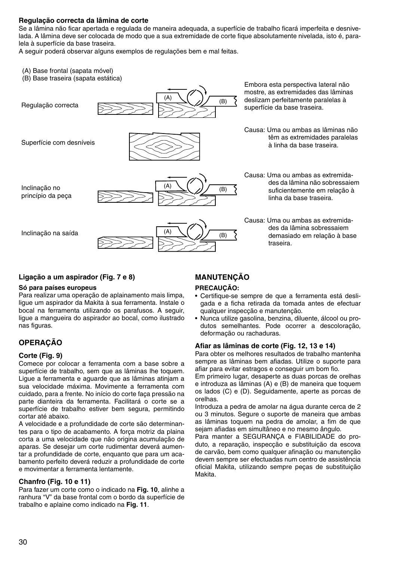#### **Regulação correcta da lâmina de corte**

Se a lâmina não ficar apertada e regulada de maneira adequada, a superfície de trabalho ficará imperfeita e desnivelada. A lâmina deve ser colocada de modo que a sua extremidade de corte fique absolutamente nivelada, isto é, paralela à superfície da base traseira.

A seguir poderá observar alguns exemplos de regulações bem e mal feitas.

- (A) Base frontal (sapata móvel)
- (B) Base traseira (sapata estática)



#### **Ligação a um aspirador (Fig. 7 e 8)**

#### **Só para países europeus**

Para realizar uma operação de aplainamento mais limpa, ligue um aspirador da Makita à sua ferramenta. Instale o bocal na ferramenta utilizando os parafusos. A seguir, ligue a mangueira do aspirador ao bocal, como ilustrado nas figuras.

## **OPERAÇÃO**

#### **Corte (Fig. 9)**

Comece por colocar a ferramenta com a base sobre a superfície de trabalho, sem que as lâminas lhe toquem. Ligue a ferramenta e aguarde que as lâminas atinjam a sua velocidade máxima. Movimente a ferramenta com cuidado, para a frente. No início do corte faça pressão na parte dianteira da ferramenta. Facilitará o corte se a superfície de trabalho estiver bem segura, permitindo cortar até abaixo.

A velocidade e a profundidade de corte são determinantes para o tipo de acabamento. A força motriz da plaina corta a uma velocidade que não origina acumulação de aparas. Se desejar um corte rudimentar deverá aumentar a profundidade de corte, enquanto que para um acabamento perfeito deverá reduzir a profundidade de corte e movimentar a ferramenta lentamente.

#### **Chanfro (Fig. 10 e 11)**

Para fazer um corte como o indicado na **Fig. 10**, alinhe a ranhura "V" da base frontal com o bordo da superfície de trabalho e aplaine como indicado na **Fig. 11**.

## **MANUTENÇÃO**

## **PRECAUÇÃO:**

- Certifique-se sempre de que a ferramenta está desligada e a ficha retirada da tomada antes de efectuar qualquer inspecção e manutenção.
- Nunca utilize gasolina, benzina, diluente, álcool ou produtos semelhantes. Pode ocorrer a descoloração, deformação ou rachaduras.

#### **Afiar as lâminas de corte (Fig. 12, 13 e 14)**

Para obter os melhores resultados de trabalho mantenha sempre as lâminas bem afiadas. Utilize o suporte para afiar para evitar estragos e conseguir um bom fio.

Em primeiro lugar, desaperte as duas porcas de orelhas e introduza as lâminas (A) e (B) de maneira que toquem os lados (C) e (D). Seguidamente, aperte as porcas de orelhas.

Introduza a pedra de amolar na água durante cerca de 2 ou 3 minutos. Segure o suporte de maneira que ambas as lâminas toquem na pedra de amolar, a fim de que sejam afiadas em simultâneo e no mesmo ângulo.

Para manter a SEGURANÇA e FIABILIDADE do produto, a reparação, inspecção e substituição da escova de carvão, bem como qualquer afinação ou manutenção devem sempre ser efectuadas num centro de assistência oficial Makita, utilizando sempre peças de substituição Makita.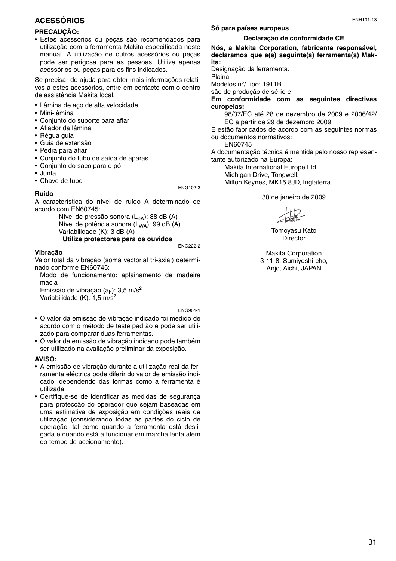## **ACESSÓRIOS**

#### **PRECAUÇÃO:**

• Estes acessórios ou peças são recomendados para utilização com a ferramenta Makita especificada neste manual. A utilização de outros acessórios ou peças pode ser perigosa para as pessoas. Utilize apenas acessórios ou peças para os fins indicados.

Se precisar de ajuda para obter mais informações relativos a estes acessórios, entre em contacto com o centro de assistência Makita local.

- Lâmina de aço de alta velocidade
- Mini-lâmina
- Conjunto do suporte para afiar
- Afiador da lâmina
- Régua guia
- Guia de extensão
- Pedra para afiar
- Conjunto do tubo de saída de aparas
- Conjunto do saco para o pó
- Junta
- Chave de tubo

ENG102-3

## **Ruído**

A característica do nível de ruído A determinado de acordo com EN60745:

> Nível de pressão sonora  $(L_{pA})$ : 88 dB (A) Nível de potência sonora (LWA): 99 dB (A) Variabilidade (K): 3 dB (A)

## **Utilize protectores para os ouvidos**

#### ENG222-2

#### **Vibração**

Valor total da vibração (soma vectorial tri-axial) determinado conforme EN60745:

Modo de funcionamento: aplainamento de madeira macia

Emissão de vibração  $(a_h)$ : 3,5 m/s<sup>2</sup> Variabilidade (K): 1,5 m/s<sup>2</sup>

#### ENG901-1

- O valor da emissão de vibração indicado foi medido de acordo com o método de teste padrão e pode ser utilizado para comparar duas ferramentas.
- O valor da emissão de vibração indicado pode também ser utilizado na avaliação preliminar da exposição.

#### **AVISO:**

- A emissão de vibração durante a utilização real da ferramenta eléctrica pode diferir do valor de emissão indicado, dependendo das formas como a ferramenta é utilizada.
- Certifique-se de identificar as medidas de segurança para protecção do operador que sejam baseadas em uma estimativa de exposição em condições reais de utilização (considerando todas as partes do ciclo de operação, tal como quando a ferramenta está desligada e quando está a funcionar em marcha lenta além do tempo de accionamento).

#### **Só para países europeus**

#### **Declaração de conformidade CE**

**Nós, a Makita Corporation, fabricante responsável, declaramos que a(s) seguinte(s) ferramenta(s) Makita:**

Designação da ferramenta:

Plaina

Modelos n°/Tipo: 1911B são de produção de série e

**Em conformidade com as seguintes directivas europeias:**

98/37/EC até 28 de dezembro de 2009 e 2006/42/ EC a partir de 29 de dezembro 2009

E estão fabricados de acordo com as seguintes normas ou documentos normativos:

EN60745

A documentação técnica é mantida pelo nosso representante autorizado na Europa:

Makita International Europe Ltd. Michigan Drive, Tongwell. Milton Keynes, MK15 8JD, Inglaterra

30 de janeiro de 2009

Tomoyasu Kato **Director** 

Makita Corporation 3-11-8, Sumiyoshi-cho, Anjo, Aichi, JAPAN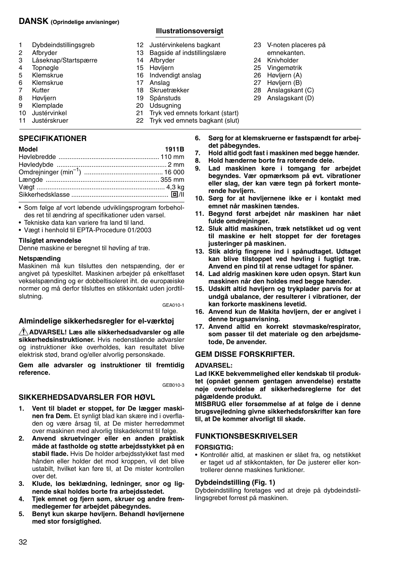## **DANSK (Oprindelige anvisninger)**

**Illustrationsoversigt** 

Tryk ved emnets forkant (start) 22 Tryk ved emnets bagkant (slut)

12 Justérvinkelens bagkant<br>13 Bagside af indstillingslær 13 Bagside af indstillingslære<br>14 Afbryder

14 Afbryder<br>15 Høvliern 15 Høvljern<br>16 Indvendi 16 Indvendigt anslag<br>17 Anslag 17 Anslag<br>18 Skruetr **Skruetrækker** 19 Spånstuds<br>20 Udsugning 20 Udsugning<br>21 Tryk ved er

- 1 Dybdeindstillingsgreb<br>2 Afbryder 2 Afbryder<br>3 Låseknar 3 Låseknap/Startspærre<br>4 Topnøgle 4 Topnøgle<br>5 Klemskru 5 Klemskrue<br>6 Klemskrue 6 Klemskrue<br>7 Kutter 7 Kutter<br>8 Høvlie
- 8 Høvljern<br>9 Klemplag
- 9 Klemplade<br>10 Justérvinke
- 10 Justérvinkel
- 11 Justérskruer

## **SPECIFIKATIONER**

| Model |  | 1911B |
|-------|--|-------|
|       |  |       |
| .     |  |       |

- Som følge af vort løbende udviklingsprogram forbeholdes ret til ændring af specifikationer uden varsel.
- Tekniske data kan variere fra land til land.
- Vægt i henhold til EPTA-Procedure 01/2003

## **Tilsigtet anvendelse**

Denne maskine er beregnet til høvling af træ.

## **Netspænding**

Maskinen må kun tilsluttes den netspænding, der er angivet på typeskiltet. Maskinen arbejder på enkeltfaset vekselspænding og er dobbeltisoleret iht. de europæiske normer og må derfor tilsluttes en stikkontakt uden jordtilslutning.

GEA010-1

## **Almindelige sikkerhedsregler for el-værktøj**

**ADVARSEL! Læs alle sikkerhedsadvarsler og alle sikkerhedsinstruktioner.** Hvis nedenstående advarsler og instruktioner ikke overholdes, kan resultatet blive elektrisk stød, brand og/eller alvorlig personskade.

**Gem alle advarsler og instruktioner til fremtidig reference.**

GEB010-3

## **SIKKERHEDSADVARSLER FOR HØVL**

- **1. Vent til bladet er stoppet, før De lægger maskinen fra Dem.** Et synligt blad kan skære ind i overfladen og være årsag til, at De mister herredømmet over maskinen med alvorlig tilskadekomst til følge.
- **2. Anvend skruetvinger eller en anden praktisk måde at fastholde og støtte arbejdsstykket på en stabil flade.** Hvis De holder arbejdsstykket fast med hånden eller holder det mod kroppen, vil det blive ustabilt, hvilket kan føre til, at De mister kontrollen over det.
- **3. Klude, løs beklædning, ledninger, snor og lignende skal holdes borte fra arbejdsstedet.**
- **4. Tjek emnet og fjern søm, skruer og andre fremmedlegemer før arbejdet påbegyndes.**
- **5. Benyt kun skarpe høvljern. Behandl høvljernene med stor forsigtighed.**
- 23 V-noten placeres på
- emnekanten. 24 Knivholder
- 25 Vingemøtrik
- 26 Høvljern (A)
- 27 Høvljern (B)
- 28 Anslagskant (C)
- 29 Anslagskant (D)
- **6. Sørg for at klemskruerne er fastspændt før arbejdet påbegyndes.**
- **7.** Hold altid godt fast i maskinen med begge hænder.<br> **8.** Hold hænderne borte fra roterende dele.<br> **9.** Lad, maskinen, køre, i, tomgang, før, arbeidet
	- **8. Hold hænderne borte fra roterende dele.**
- **9. Lad maskinen køre i tomgang før arbejdet begyndes. Vær opmærksom på evt. vibrationer eller slag, der kan være tegn på forkert monterende høvljern.**
- **10. Sørg for at høvljernene ikke er i kontakt med emnet når maskinen tændes.**
- **11. Begynd først arbejdet når maskinen har nået fulde omdrejninger.**
- **12. Sluk altid maskinen, træk netstikket ud og vent til maskine er helt stoppet før der foretages justeringer på maskinen.**
- **13. Stik aldrig fingrene ind i spånudtaget. Udtaget kan blive tilstoppet ved høvling i fugtigt træ. Anvend en pind til at rense udtaget for spåner.**
- **14. Lad aldrig maskinen køre uden opsyn. Start kun maskinen når den holdes med begge hænder.**
- **15. Udskift altid høvljern og trykplader parvis for at undgå ubalance, der resulterer i vibrationer, der kan forkorte maskinens levetid.**
- **16. Anvend kun de Makita høvljern, der er angivet i denne brugsanvisning.**
- **17. Anvend altid en korrekt støvmaske/respirator, som passer til det materiale og den arbejdsmetode, De anvender.**

## **GEM DISSE FORSKRIFTER.**

## **ADVARSEL:**

**Lad IKKE bekvemmelighed eller kendskab til produktet (opnået gennem gentagen anvendelse) erstatte nøje overholdelse af sikkerhedsreglerne for det pågældende produkt.** 

**MISBRUG eller forsømmelse af at følge de i denne brugsvejledning givne sikkerhedsforskrifter kan føre til, at De kommer alvorligt til skade.**

## **FUNKTIONSBESKRIVELSER**

## **FORSIGTIG:**

• Kontrollér altid, at maskinen er slået fra, og netstikket er taget ud af stikkontakten, før De justerer eller kontrollerer denne maskines funktioner.

## **Dybdeindstilling (Fig. 1)**

Dybdeindstilling foretages ved at dreje på dybdeindstillingsgrebet forrest på maskinen.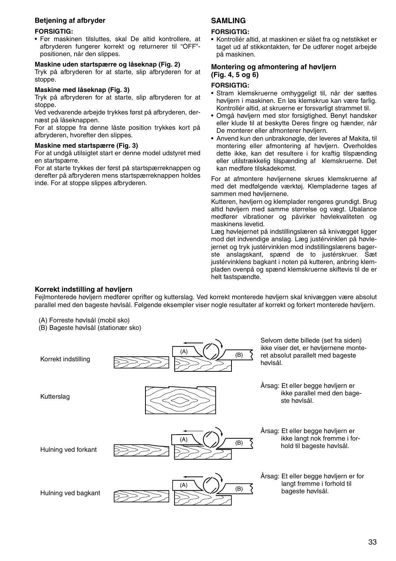### **Betjening af afbryder**

#### **FORSIGTIG:**

• Før maskinen tilsluttes, skal De altid kontrollere, at afbryderen fungerer korrekt og returnerer til "OFF" positionen, når den slippes.

### **Maskine uden startspærre og låseknap (Fig. 2)**

Tryk på afbryderen for at starte, slip afbryderen for at stoppe.

#### **Maskine med låseknap (Fig. 3)**

Tryk på afbryderen for at starte, slip afbryderen for at stoppe.

Ved vedvarende arbejde trykkes først på afbryderen, dernæst på låseknappen.

For at stoppe fra denne låste position trykkes kort på afbryderen, hvorefter den slippes.

#### **Maskine med startspærre (Fig. 3)**

For at undgå utilsigtet start er denne model udstyret med en startspærre.

For at starte trykkes der først på startspærreknappen og derefter på afbryderen mens startspærreknappen holdes inde. For at stoppe slippes afbryderen.

## **SAMLING**

#### **FORSIGTIG:**

• Kontrollér altid, at maskinen er slået fra og netstikket er taget ud af stikkontakten, før De udfører noget arbejde på maskinen.

#### **Montering og afmontering af høvljern (Fig. 4, 5 og 6)**

#### **FORSIGTIG:**

- Stram klemskruerne omhyggeligt til, når der sættes høvljern i maskinen. En løs klemskrue kan være farlig. Kontrollér altid, at skruerne er forsvarligt strammet til.
- Omgå høvljern med stor forsigtighed. Benyt handsker eller klude til at beskytte Deres fingre og hænder, når De monterer eller afmonterer høvljern.
- Anvend kun den unbrakonøgle, der leveres af Makita, til montering eller afmontering af høvljern. Overholdes dette ikke, kan det resultere i for kraftig tilspænding eller utilstrækkelig tilspænding af klemskruerne. Det kan medføre tilskadekomst.

For at afmontere høvljernene skrues klemskruerne af med det medfølgende værktøj. Klempladerne tages af sammen med høvljernene.

Kutteren, høvljern og klemplader rengøres grundigt. Brug altid høvljern med samme størrelse og vægt. Ubalance medfører vibrationer og påvirker høvlekvaliteten og maskinens levetid.

Læg høvlejernet på indstillingslæren så knivægget ligger mod det indvendige anslag. Læg justérvinklen på høvlejernet og tryk justérvinklen mod indstillingslærens bagerste anslagskant, spænd de to justérskruer. Sæt justérvinklens bagkant i noten på kutteren, anbring klempladen ovenpå og spænd klemskruerne skiftevis til de er helt fastspændte.

#### **Korrekt indstilling af høvljern**

Fejlmonterede høvljern medfører oprifter og kutterslag. Ved korrekt monterede høvljern skal knivæggen være absolut parallel med den bageste høvlsål. Følgende eksempler viser nogle resultater af korrekt og forkert monterede høvljern.

- (A) Forreste høvlsål (mobil sko)
- (B) Bageste høvlsål (stationær sko)

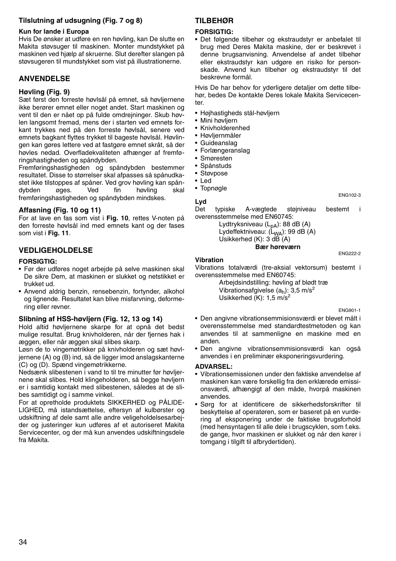## **Tilslutning af udsugning (Fig. 7 og 8)**

#### **Kun for lande i Europa**

Hvis De ønsker at udføre en ren høvling, kan De slutte en Makita støvsuger til maskinen. Monter mundstykket på maskinen ved hjælp af skruerne. Slut derefter slangen på støvsugeren til mundstykket som vist på illustrationerne.

## **ANVENDELSE**

#### **Høvling (Fig. 9)**

Sæt først den forreste høvlsål på emnet, så høvljernene ikke berører emnet eller noget andet. Start maskinen og vent til den er nået op på fulde omdrejninger. Skub høvlen langsomt fremad, mens der i starten ved emnets forkant trykkes ned på den forreste høvlsål, senere ved emnets bagkant flyttes trykket til bageste høvlsål. Høvlingen kan gøres lettere ved at fastgøre emnet skråt, så der høvles nedad. Overfladekvaliteten afhænger af fremføringshastigheden og spåndybden.

Fremføringshastigheden og spåndybden bestemmer resultatet. Disse to størrelser skal afpasses så spånudkastet ikke tilstoppes af spåner. Ved grov høvling kan spåndybden øges. Ved fin høvling skal fremføringshastigheden og spåndybden mindskes.

#### **Affasning (Fig. 10 og 11)**

For at lave en fas som vist i **Fig. 10**, rettes V-noten på den forreste høvlsål ind med emnets kant og der fases som vist i **Fig. 11**.

## **VEDLIGEHOLDELSE**

#### **FORSIGTIG:**

- Før der udføres noget arbejde på selve maskinen skal De sikre Dem, at maskinen er slukket og netstikket er trukket ud.
- Anvend aldrig benzin, rensebenzin, fortynder, alkohol og lignende. Resultatet kan blive misfarvning, deformering eller revner.

#### **Slibning af HSS-høvljern (Fig. 12, 13 og 14)**

Hold altid høvljernene skarpe for at opnå det bedst mulige resultat. Brug knivholderen, når der fjernes hak i æggen, eller når æggen skal slibes skarp.

Løsn de to vingemøtrikker på knivholderen og sæt høvljernene (A) og (B) ind, så de ligger imod anslagskanterne (C) og (D). Spænd vingemøtrikkerne.

Nedsænk slibestenen i vand to til tre minutter før høvljernene skal slibes. Hold klingeholderen, så begge høvljern er i samtidig kontakt med slibestenen, således at de slibes samtidigt og i samme vinkel.

For at opretholde produktets SIKKERHED og PÅLIDE-LIGHED, må istandsættelse, eftersyn af kulbørster og udskiftning af dele samt alle andre veligeholdelsesarbejder og justeringer kun udføres af et autoriseret Makita Servicecenter, og der må kun anvendes udskiftningsdele fra Makita.

## **TILBEHØR**

#### **FORSIGTIG:**

• Det følgende tilbehør og ekstraudstyr er anbefalet til brug med Deres Makita maskine, der er beskrevet i denne brugsanvisning. Anvendelse af andet tilbehør eller ekstraudstyr kan udgøre en risiko for personskade. Anvend kun tilbehør og ekstraudstyr til det beskrevne formål.

Hvis De har behov for yderligere detaljer om dette tilbehør, bedes De kontakte Deres lokale Makita Servicecen $t$ 

- Højhastigheds stål-høvljern
- Mini høvljern
- Knivholderenhed
- Høvljernmåler
- Guideanslag
- Forlængeranslag
- Smøresten
- Spånstuds
- Støvpose
- Led
- Topnøgle
- **Lyd**

Det typiske A-vægtede støjniveau bestemt i overensstemmelse med EN60745:

> Lydtryksniveau (L<sub>pA</sub>): 88 dB (A) Lydeffektniveau: (L<sub>WA</sub>): 99 dB (A) Usikkerhed (K): 3 dB (A)

> > **Bær høreværn**

#### **Vibration**

Vibrations totalværdi (tre-aksial vektorsum) bestemt i overensstemmelse med EN60745:

Arbejdsindstilling: høvling af blødt træ Vibrationsafgivelse  $(a_h)$ : 3,5 m/s<sup>2</sup> Usikkerhed (K): 1,5 m/s<sup>2</sup>

ENG901-1

ENG102-3

ENG222-2

- Den angivne vibrationsemmisionsværdi er blevet målt i overensstemmelse med standardtestmetoden og kan anvendes til at sammenligne en maskine med en anden.
- Den angivne vibrationsemmisionsværdi kan også anvendes i en preliminær eksponeringsvurdering.

#### **ADVARSEL:**

- Vibrationsemissionen under den faktiske anvendelse af maskinen kan være forskellig fra den erklærede emissionsværdi, afhængigt af den måde, hvorpå maskinen anvendes.
- Sørg for at identificere de sikkerhedsforskrifter til beskyttelse af operatøren, som er baseret på en vurdering af eksponering under de faktiske brugsforhold (med hensyntagen til alle dele i brugscyklen, som f.eks. de gange, hvor maskinen er slukket og når den kører i tomgang i tilgift til afbrydertiden).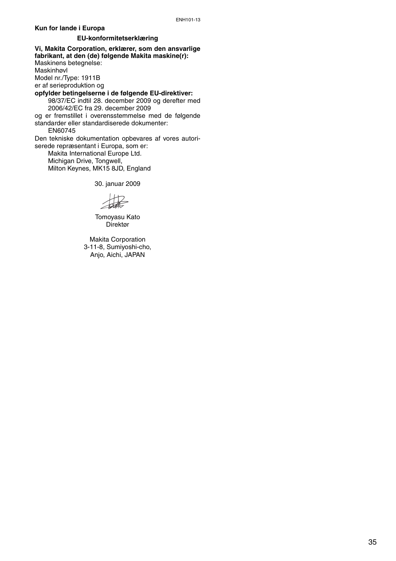#### **Kun for lande i Europa**

#### **EU-konformitetserklæring**

**Vi, Makita Corporation, erklærer, som den ansvarlige fabrikant, at den (de) følgende Makita maskine(r):** Maskinens betegnelse: Maskinhøvl Model nr./Type: 1911B er af serieproduktion og **opfylder betingelserne i de følgende EU-direktiver:**  98/37/EC indtil 28. december 2009 og derefter med 2006/42/EC fra 29. december 2009 og er fremstillet i overensstemmelse med de følgende standarder eller standardiserede dokumenter: EN60745 Den tekniske dokumentation opbevares af vores autoriserede repræsentant i Europa, som er: Makita International Europe Ltd. Michigan Drive, Tongwell,

Milton Keynes, MK15 8JD, England

30. januar 2009

Tomoyasu Kato Direktør

Makita Corporation 3-11-8, Sumiyoshi-cho, Anjo, Aichi, JAPAN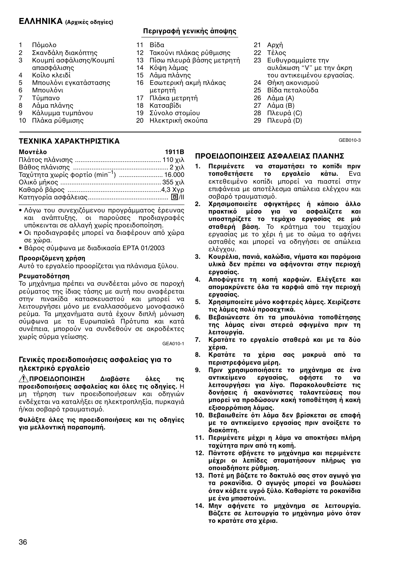## **ΕΛΛΗΝΙΚΑ (Αρικές δηγίες)**

- 1 Πόμολο<br>2 Σκανδάλ
- 2 Σκανδάλη διακόπτης<br>3 Κουμπί ασφάλισης/Κα Κουμπί ασφάλισης/Κουμπί
- απασφάλισης
- 4 Κοίλο κλειδί<br>5 Μπουλόνι εν
- 5 Μπουλόνι εγκατάστασης<br>6 Μπουλόνι
- 6 Μπουλόνι<br>7 Τύμπανο
- 7 Τύμπανο<br>8 Λάμα πλά
- 8 Λάμα πλάνης<br>9 Κάλυμμα τιμμ Κάλυμμα τυμπάνου
- 
- 10 Πλάκα ρύθμισης

# **Περιγραφή γενικής άπψης**

- 11 Βίδα
- 12 Τακύνι πλάκας ρύθμισης
- 13 Πίσω πλευρά βάσης μετρητή<br>14 Κόμη λάμας
- Κόψη λάμας
- 15 Λάμα πλάνης
- 16 Εσωτερική ακμή πλάκας μετρητή
- 17 Πλάκα μετρητή
- 18 Κατσαβίδι
- 19 Σύνολο στομίου
- 20 Ηλεκτρική σκύπα
- 21 Αρ'ή
- 22 Τέλος
- 23 Ευθυγραμμίστε την αυλάκωση "V" με την άκρη του αντικειμένου εργασίας.
- 24 Θήκη ακονισμού<br>25 Βίδα πεταλούδα
- Βίδα πεταλούδα
- 26 Λάμα (A)
- 27 Λάμα (B)
- 28 Πλευρά (C)
- 29 Πλευρά (D)

GEB010-3

## **ΤΕ\$ΝΙΚΑ \$ΑΡΑΚΤΗΡΙΣΤΙΚΑ**

| Μοντέλο                                            | 1911B |
|----------------------------------------------------|-------|
|                                                    |       |
|                                                    |       |
| Ταχύτητα χωρίς φορτίο (min <sup>-1</sup> )  16.000 |       |
|                                                    |       |
|                                                    |       |
|                                                    |       |

- Λόγω του συνεχιζόμενου προγράμματος έρευνας και ανάπτυξης, οι παρούσες προδιαγραφές υπόκεινται σε αλλαγή χωρίς προειδοποίηση.
- Οι προδιαγραφές μπορεί να διαφέρουν από χώρα σε 'ώρα.
- Βάρς σύμφωνα με διαδικασία EPTA 01/2003

## **Προοριζόμενη χρήση**

Αυτό το εργαλείο προορίζεται για πλάνισμα ξύλου.

#### **Ρευματοδότηση**

Το μηχάνημα πρέπει να συνδέεται μόνο σε παροχή ρεύματος της ίδιας τάσης με αυτή που αναφέρεται στην πινακίδα κατασκευαστού και μπορεί να λειτουργήσει μόνο με εναλλασσόμενο μονοφασικό ρεύμα. Τα μηχανήματα αυτά έχουν διπλή μόνωση σύμφωνα με τα Ευρωπαϊκά Πρότυπα και κατά συνέπεια, μπορούν να συνδεθούν σε ακροδέκτες 'ωρίς σύρμα γείωσης.

GEA010-1

## Γενικές προειδοποιήσεις ασφαλείας για το **ηλεκτρικό εργαλείο**

**ΠΡΟΕΙΔΟΠΟΙΗΣΗ Διαβάστε όλες τις προειδοποιήσεις ασφαλείας και όλες τις οδηγίες.** Η μη τήρηση των προειδοποιήσεων και οδηγιών ενδέχεται να καταλήξει σε ηλεκτροπληξία, πυρκαγιά ή/και σοβαρό τραυματισμό.

**Φυλά3τε +λες τις πρειδπιήσεις και τις δηγίες** για μελλοντική παραπομπή.

- ΠΡΟΕΙΔΟΠΟΙΗΣΕΙΣ ΑΣΦΑΛΕΙΑΣ ΠΛΑΝΗΣ
- 1. Περιμένετε να σταματήσει το κοπίδι πριν **τοποθετήσετε το εργαλείο κάτω.** Ενα εκτεθειμένο κοπίδι μπορεί να πιαστεί στην επιφάνεια με αποτέλεσμα απώλεια ελέγχου και σοβαρό τραυματισμό.
- 2. Χρησιμοποιείτε σφιγκτήρες ή κάποιο άλλο **πρακτικό μέσο για να ασφαλίζετε και** υποστηρίζετε το τεμάχιο εργασίας σε μιά **σταθερή βάση.** Το κράτημα του τεμαχίου εργασίας με το χέρι ή με το σώμα το αφήνει ασταθές και μπορεί να οδηγήσει σε απώλεια ελένχου.
- 3. Κουρέλια, πανιά, καλώδια, νήματα και παρόμοια **υλικά δεν πρέπει να αφήννται στην περιή εργασίας.**
- **4. Αποφύγετε τη κοπή καρφιών. Ελέγξετε και** απομακρύνετε όλα τα καρφιά από την περιοχή **εργασίας.**
- 5. Χρησιμποιείτε μόνο κοφτερές λάμες. Χειρίζεστε **τις λάμες πολύ προσεχτικά.**
- 6. Βεβαιώνεστε ότι τα μπουλόνια τοποθέτησης **της λάμας είναι στερεά σφιγμένα πριν τη λειτυργία.**
- 7. Κρατάτε το εργαλείο σταθερά και με τα δύο **έρια.**
- 8. Κρατάτε τα χέρια σας μακρυά από τα **περιστρεφόμενα μέρη.**
- 9. Πριν χρησιμοποιήσετε το μηχάνημα σε ένα αντικείμενο εργασίας, αφήστε το να<br>λειτουργήσει για λίγο. Παρακολουθείστε τις δονήσεις ή ακανόνιστες ταλαντεύσεις που μπορεί να προδώσουν κακή τοποθέτηση ή κακή **ε3ισρρ+πιση λάμας.**
- 10. Βεβαιωθείτε ότι λάμα δεν βρίσκεται σε επαφή με το αντικείμενο εργασίας πριν ανοίξετε το **διακόπτη.**
- **11. Περιμένετε μέρι η λάμα να απκτήσει πλήρη** ταχύτητα πριν από τη κοπή.
- 12. Πάντοτε σβήνετε το μηχάνημα και περιμένετε **μέρι ι λεπίδες σταματήσυν πλήρως για πιαδήπτε ρύθμιση.**
- 13. Ποτέ μη βάζετε το δακτυλό σας στον αγωγό για τα ροκανίδια. Ο αγωγός μπορεί να βουλώσει όταν κόβετε υγρό ξύλο. Καθαρίστε τα ροκανίδια **με ένα μπαστύνι.**
- 14. Μην αφήνετε το μηχάνημα σε λειτουργία. **Βάζετε σε λειτουργία το μηχάνημα μόνο όταν τ κρατάτε στα έρια.**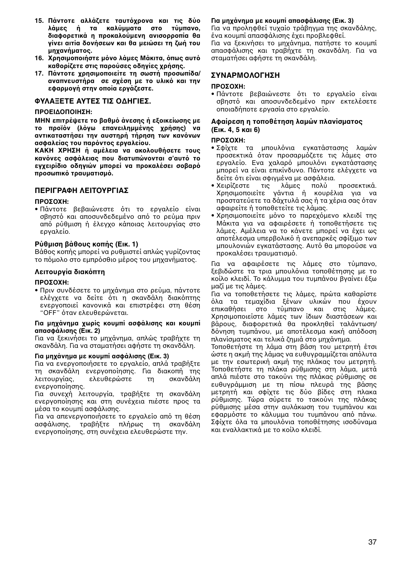- 15. Πάντοτε αλλάζετε ταυτόχρονα και τις δύο λάμες ή τα καλύμματα στο τύμπανο. **διαφρετικά η πρκαλύμενη ανισρρπία θα γίνει αιτία δνήσεων και θα μειώσει τη \*ωή τυ μηανήματς.**
- 16. Χρησιμοποιήστε μόνο λάμες Μάκιτα, όπως αυτό **καθορίζετε στις παρούσες οδηγίες χρήσης.**
- **17. Πάνττε ρησιμπιείτε τη σωστή πρσωπίδα/** αναπνευστήρα σε σχέση με το υλικό και την εφαρμονή στην οποία ερνάζεστε.

## **ΦΥΛΑEΕΤΕ ΑΥΤΕΣ ΤΙΣ ΔΗΓΙΕΣ.**

#### **ΠΡΕΙΔΠΙΗΣΗ:**

**ΜΗΝ επιτρέψετε το βαθμό άνεσης ή εξοικείωσης με** το προϊόν (λόγω επανειλημμένης χρήσης) να αντικαταστήσει την αυστηρή τήρηση των κανόνων ασφαλείας του παρόντος εργαλείου.

**ΚΑΚΗ ΧΡΗΣΗ ή αμέλεια να ακολουθήσετε τους κανόνες ασφάλειας που διατυπώνονται σ'αυτό το** ενχειρίδιο οδηνιών μπορεί να προκαλέσει σοβαρό **πρσωπικ+ τραυματισμ+.** 

## **ΠΕΡΙΓΡΑΦΗ ΛΕΙΤΟΥΡΓΙΑΣ**

#### **ΠΡΟΣΟΧΗ:**

• Πάντοτε βεβαιώνεστε ότι το εργαλείο είναι σβηστό και αποσυνδεδεμένο από το ρεύμα πριν από ρύθμιση ή έλεγχο κάποιας λειτουργίας στο εργαλείο.

#### **Ρύθμιση βάθους κοπής (Εικ. 1)**

Βάθος κοπής μπορεί να ρυθμιστεί απλώς γυρίζοντας το πόμολο στο εμπρόσθιο μέρος του μηχανήματος.

#### **Λειτουργία διακόπτη**

#### **ΠΡΩΣΩΧΗ·**

• Πριν συνδέσετε το μηχάνημα στο ρεύμα, πάντοτε ελέγχετε να δείτε ότι η σκανδάλη διακόπτης ενεργοποιεί κανονικά και επιστρέφει στη θέση "OFF" όταν ελευθερώνεται.

#### **Για μηάνημα ωρίς κυμπί ασφάλισης και κυμπί απασφάλισης (Εικ. 2)**

Για να ξεκινήσει το μηχάνημα, απλώς τραβήχτε τη σκανδάλη. Για να σταματήσει αφήστε τη σκανδάλη.

#### **Για μηάνημα με κυμπί ασφάλισης (Εικ. 3)**

Για να ενεργοποιήσετε το εργαλείο, απλά τραβήξτε τη σκανδάλη ενεργοποίησης. Για διακοπή της<br>λειτουρνίας. ελευθερώστε τη σκανδάλη λειτουργίας, ελευθερώστε τη ενεργοποίησης.

Για συνεχή λειτουργία, τραβήξτε τη σκανδάλη ενεργοποίησης και στη συνέχεια πιέστε προς τα μέσα το κουμπί ασφάλισης.

Για να απενεργοποιήσετε το εργαλείο από τη θέση ασφάλισης, τραβήξτε πλήρως τη σκανδάλη ενεργοποίησης, στη συνέχεια ελευθερώστε την.

#### **Για μηάνημα με κυμπί απασφάλισης (Εικ. 3)**

Για να προληφθεί τυχαίο τράβηνμα της σκανδάλης. ένα κουμπί απασφάλισης έχει προβλεφθεί. Για να ξεκινήσει το μηχάνημα, πατήστε το κουμπί απασφάλισης και τραβήχτε τη σκανδάλη. Για να

#### **ΣΥΝΑΡΜΛΓΗΣΗ**

σταματήσει αφήστε τη σκανδάλη.

#### **ΠΡΩΣΩΥΗ·**

• Πάντοτε βεβαιώνεστε ότι το ερναλείο είναι σβηστό και αποσυνδεδεμένο πριν εκτελέσετε οποιαδήποτε εργασία στο εργαλείο.

#### **Αφαίρεση η τπθέτηση λαμών πλανίσματς (Εικ. 4, 5 και 6)**

#### **ΠΡΟΣΟΧΗ:**

- Σφίχτε τα μπουλόνια ενκατάστασης λαμών προσεκτικά όταν προσαρμόζετε τις λάμες στο εργαλείο. Ενα χαλαρό μπουλόνι εγκατάστασης μπρεί να είναι επικίνδυν. Πάνττε ελέγ'ετε να − δείτε ότι είναι σφιγμένα με ασφάλεια.<br>• Χειρίζεστε − τις − λάμες − πολύ
- τις λάμες πολύ προσεκτικά. Χρησιμοποιείτε γάντια ή κουρέλια για να προστατεύετε τα δάχτυλά σας ή τα χέρια σας όταν αφαιρείτε ή τοποθετείτε τις λάμας.
- Χρησιμοποιείτε μόνο το παρεχόμενο κλειδί της Μάκιτα για να αφαιρέσετε ή τοποθετήσετε τις λάμες. Αμέλεια να το κάνετε μπορεί να έχει ως αποτέλεσμα υπερβολικό ή ανεπαρκές σφίξιμο των μπουλονιών εγκατάστασης. Αυτό θα μπορούσε να προκαλέσει τραυματισμό.

Για να αφαιρέσετε τις λάμες στο τύμπανο. ξεβιδώστε τα τρια μπουλόνια τοποθέτησης με το κοίλο κλειδί. Το κάλυμμα του τυμπάνου βναίνει έξω μαζί με τις λάμες.

Για να τοποθετήσετε τις λάμες, πρώτα καθαρίστε όλα τα τεμαχίδια ξένων υλικών που έχουν<br>επικαθήσει στο τύμπανο και στις λάμες. επικαθήσει στο τύμπανο και στις Χρησιμοποιείστε λάμες των ίδιων διαστάσεων και !άρυς, διαφρετικά θα πρκληθεί ταλάντωση/ δόνηση τυμπάνου, με αποτέλεσμα κακή απόδοση πλανίσματος και τελικά ζημιά στο μηχάνημα.

Τοποθετήστε τη λάμα στη βάση του μετρητή έτσι ώστε η ακμή της λάμας να ευθυγραμμίζεται απόλυτα με την εσωτερική ακμή της πλάκας του μετρητή. Τοποθετήστε τη πλάκα ρύθμισης στη λάμα, μετά απλά πιέστε στο τακούνι της πλάκας ρύθμισης σε ευθυγράμμιση με τη πίσω πλευρά της βάσης μετρητή και σφίχτε τις δύο βίδες στη πλακα ρύθμισης. Τώρα σύρετε το τακούνι της πλάκας ρύθμισης μέσα στην αυλάκωση του τυμπάνου και εφαρμόστε το κάλυμμα του τυμπάνου από πάνω. Σφίχτε όλα τα μπουλόνια τοποθέτησης ισοδύναμα και εναλλακτικά με το κοίλο κλειδί.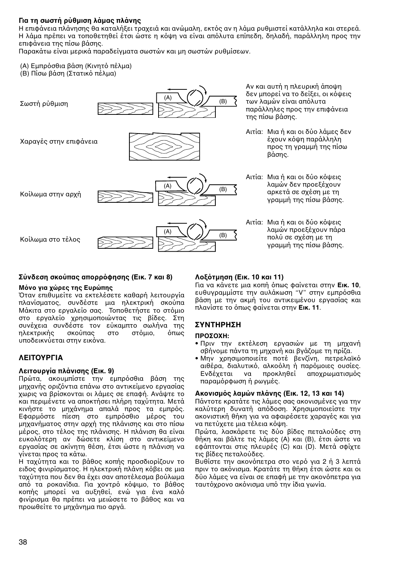## **Για τη σωστή ρύθμιση λάμας πλάνης**

Η επιφάνεια πλάνησης θα καταλήξει τραχειά και ανώμαλη, εκτός αν η λάμα ρυθμιστεί κατάλληλα και στερεά. Η λάμα πρέπει να τοποθετηθεί έτσι ώστε η κόψη να είναι απόλυτα επίπεδη. δηλαδή, παράλληλη προς την επιφάνεια της πίσω βάσης.

Παρακάτω είναι μερικά παραδείγματα σωστών και μη σωστών ρυθμίσεων.

- (A) Εμπρόσθια βάση (Κινητό πέλμα)
- (Β) Πίσω βάση (Στατικό πέλμα)



#### Σύνδεση σκούπας απορρόφησης (Εικ. 7 και 8)

#### **Μ+ν για ώρες της Ευρώπης**

Όταν επιθυμείτε να εκτελέσετε καθαρή λειτουργία πλανίσματος, συνδέστε μια ηλεκτρική σκούπα Μάκιτα στο εργαλείο σας. Τοποθετήστε το στόμιο στο εργαλείο χρησιμοποιώντας τις βίδες. Στη συνέχεια συνδέστε τον εύκαμπτο σωλήνα της<br>nλεκτρικής σκούπας στο στόμιο. όπως ηλεκτρικής υποδεικνύεται στην εικόνα.

## **ΛΕΙΤΟΥΡΓΙΑ**

#### **Λειτυργία πλάνισης (Εικ. 9)**

Πρώτα, ακουμπίστε την εμπρόσθια βάση της μηχανής οριζόντια επάνω στο αντικείμενο εργασίας χωρις να βρίσκονται οι λάμες σε επαφή. Ανάψτε το και περιμένετε να αποκτήσει πλήρη ταχύτητα. Μετά κινήστε το μηχάνημα απαλά προς τα εμπρός. Εφαρμόστε πίεση στο εμπρόσθιο μέρος του μηχανήματος στην αρχή της πλάνισης και στο πίσω μέρος, στο τέλος της πλάνισης. Η πλάνιση θα είναι ευκολότερη αν δώσετε κλίση στο αντικείμενο εργασίας σε ακίνητη θέση, έτσι ώστε η πλάνιση να γίνεται προς τα κάτω.

Η ταχύτητα και το βάθος κοπής προσδιορίζουν το ειδος φινιρίσματος. Η ηλεκτρική πλάνη κόβει σε μια ταχύτητα που δεν θα έχει σαν αποτέλεσμα βούλωμα από τα ροκανίδια. Για χοντρό κόψιμο, το βάθος κοπής μπορεί να αυξηθεί, ενώ για ένα καλό φινίρισμα θα πρέπει να μειώσετε το βάθος και να προωθείτε το μηχάνημα πιο αργά.

## **Λ3+τμηση (Εικ. 10 και 11)**

Για να κάνετε μια κοπή όπως φαίνεται στην **Εικ. 10**, ευθυγραμμίστε την αυλάκωση "V" στην εμπρόσθια βάση με την ακμή του αντικειμένου εργασίας και πλανίστε το όπως φαίνεται στην **Εικ. 11**.

## **ΣΥΝΤΗΡΗΣΗ**

#### $\Pi$ ΡΟΣΟΧΗ:

- Πριν την εκτέλεση εργασιών με τη μηχανή σβήνομε πάντα τη μηχανή και βγάζομε τη πρίζα.
- Μην χρησιμοποιείτε ποτέ βενζίνη, πετρελαϊκό αιθέρα, διαλυτικό, αλκοόλη ή παρόμοιες ουσίες. Ενδέχεται να προκληθεί αποχρωματισμός παραμόρφωση ή ρωνμές.

#### Ακονισμός λαμών πλάνης (Εικ. 12, 13 και 14)

Πάντοτε κρατάτε τις λάμες σας ακονισμένες για την καλύτερη δυνατή απόδοση. Χρησιμοποιείστε την ακονιστική θήκη για να αφαιρέσετε χαραγές και για να πετύχετε μια τέλεια κόψη.

Πρώτα, λασκάρετε τις δύο βίδες πεταλούδες στη θήκη και !άλτε τις λάμες (A) και (B), έτσι ώστε να εφάπτονται στις πλευρές (C) και (D). Μετά σφίχτε τις βίδες πεταλούδες.

Βυθίστε την ακονόπετρα στο νερό για 2 ή 3 λεπτά πριν το ακόνισμα. Κρατάτε τη θήκη έτσι ώστε και οι δύο λάμες να είναι σε επαφή με την ακονόπετρα για ταυτόχρονο ακόνισμα υπό την ίδια γωνία.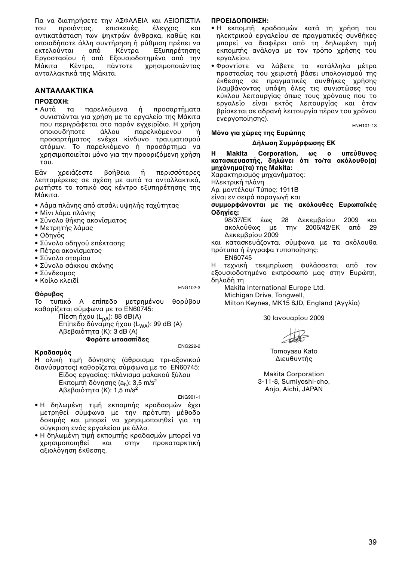Για να διατηρήσετε την ΑΣΦΑΛΕΙΑ και ΑΞΙΟΠΙΣΤΙΑ<br>του προιόντος, επισκευές, έλενχος και του προιόντος, επισκευές, έλεγγος και αντικατάσταση των ψηκτρών άνθρακα, καθώς και πιαδήπτε άλλη συντήρηση ή ρύθμιση πρέπει να εκτελούνται από Εργοστασίου ή από Εξουσιοδοτημένα από την<br>Μάκιτα Κέντρα. πάντοτε χρησιμοποιώντας Μάκιτα Κέντρα, πάντοτε ανταλλακτικά της Μάκιτα.

## **ΑΝΤΑΛΛΑΚΤΙΚΑ**

# **ΠΡΟΣΟΧΗ:**<br>• Αυτά τ

τα παρελκόμενα ή προσαρτήματα συνιστώνται για χρήση με το εργαλείο της Μάκιτα που περιγράφεται στο παρόν εγχειρίδιο. Η χρήση<br>οποιουδήποτε άλλου παρελκόμενου ή παρελκόμενου ή προσαρτήματος ενέχει κίνδυνο τραυματισμού ατόμων. Το παρελκόμενο ή προσάρτημα να χρησιμοποιείται μόνο για την προοριζόμενη χρήση τυ.

Εάν χρειάζεστε βοήθεια ή περισσότερες λεπτομέρειες σε σχέση με αυτά τα ανταλλακτικά, ρωτήστε το τοπικό σας κέντρο εξυπηρέτησης της Μάκιτα.

- Λάμα πλάνης από ατσάλι υψηλής ταχύτητας
- Μίνι λάμα πλάνης
- Σύνολο θήκης ακονίσματος
- Μετρητής λάμας
- Οδηνός
- Σύνολο οδηγού επέκτασης
- Πέτρα ακονίσματος
- Σύνολο στομίου
- Σύνολο σάκκου σκόνης
- Σύνδεσμος
- Κοίλο κλειδί

ENG102-3

#### Θό**ουβος**

Το τυπικό Α επίπεδο μετρημένου θορύβου καθορίζεται σύμφωνα με το EN60745:

 $\Pi$ ίεση ήχου (L<sub>nA</sub>): 88 dB(A) Επίπεδο δύναμης ήχου (L<sub>WA</sub>): 99 dB (A) Αβεβαιότητα (Κ): 3 dB (A) **Φράτε ωτασπίδες**

ENG222-2

#### **Κραδασμός**

Η ολική τιμή δόνησης (άθροισμα τρι-αξονικού διανύσματος) καθορίζεται σύμφωνα με το EN60745:

Είδος εργασίας: πλάνισμα μαλακού ξύλου Εκπομπή δόνησης (a<sub>h</sub>): 3,5 m/s<sup>2</sup>  $AB \varepsilon B$ αιότητα (Κ): 1,5 m/s<sup>2</sup>

ENG901-1

- Η δηλωμένη τιμή εκπομπής κραδασμών έχει μετρηθεί σύμφωνα με την πρότυπη μέθοδο δοκιμής και μπορεί να χρησιμοποιηθεί για τη σύγκριση ενός εργαλείου με άλλο.
- Η δηλωμένη τιμή εκπομπής κραδασμών μπορεί να χρησιμοποιηθεί και στην προκαταρκτική αξιολόνηση έκθεσης.

#### **ΠΡΕΙΔΠΙΗΣΗ:**

- Η εκπομπή κραδασμών κατά τη χρήση του ηλεκτρικού εργαλείου σε πραγματικές συνθήκες μπορεί να διαφέρει από τη δηλωμένη τιμή εκπομπής ανάλογα με τον τρόπο χρήσης του εργαλείου.
- Φρντίστε να λά!ετε τα κατάλληλα μέτρα προστασίας του γειριστή βάσει υπολογισμού της έκθεσης σε πραγματικές συνθήκες χρήσης (λαμβάνοντας υπόψη όλες τις συνιστώσες του κύκλου λειτουργίας όπως τους χρόνους που το εργαλείο είναι εκτός λειτουργίας και όταν βρίσκεται σε αδρανή λειτουργία πέραν του χρόνου ενεργπίησης).

ENH101-13

#### **Μ+ν για ώρες της Ευρώπης**

#### Δήλωση Συμμόρφωσης ΕΚ

Η Makita Corporation, ως ο υπεύθυνος<br>κατασκευαστής, δηλώνει ότι το/τα ακόλουθο(α) **μηάνημα(τα) της Makita:**

Χαρακτηρισμός μηχανήματος:

Ηλεκτρική πλάνη

Αρ. μοντέλου/ Τύπος: 1911Β

είναι εν σειρά παραγωγή και

#### συμμορφώνονται με τις ακόλουθες Ευρωπαϊκές **δηγίες:**

98/37/ΕΚ έως 28 Δεκεμβρίου 2009 και ακολούθως με την 2006/42/ΕΚ από 29 Δεκεμβρίου 2009

και κατασκευάζονται σύμφωνα με τα ακόλουθα πρότυπα ή έγγραφα τυποποίησης:

EN60745

Η τεχνική τεκμηρίωση φυλάσσεται από τον εξουσιοδοτημένο εκπρόσωπό μας στην Ευρώπη, δηλαδή τη

Makita International Europe Ltd. Michigan Drive, Tongwell, Milton Keynes, MK15 8JD, England (Αγγλία)

30 Ιανυαρίυ 2009

Tomoyasu Kato Διευθυντής

Makita Corporation 3-11-8, Sumiyoshi-cho, Anjo, Aichi, JAPAN